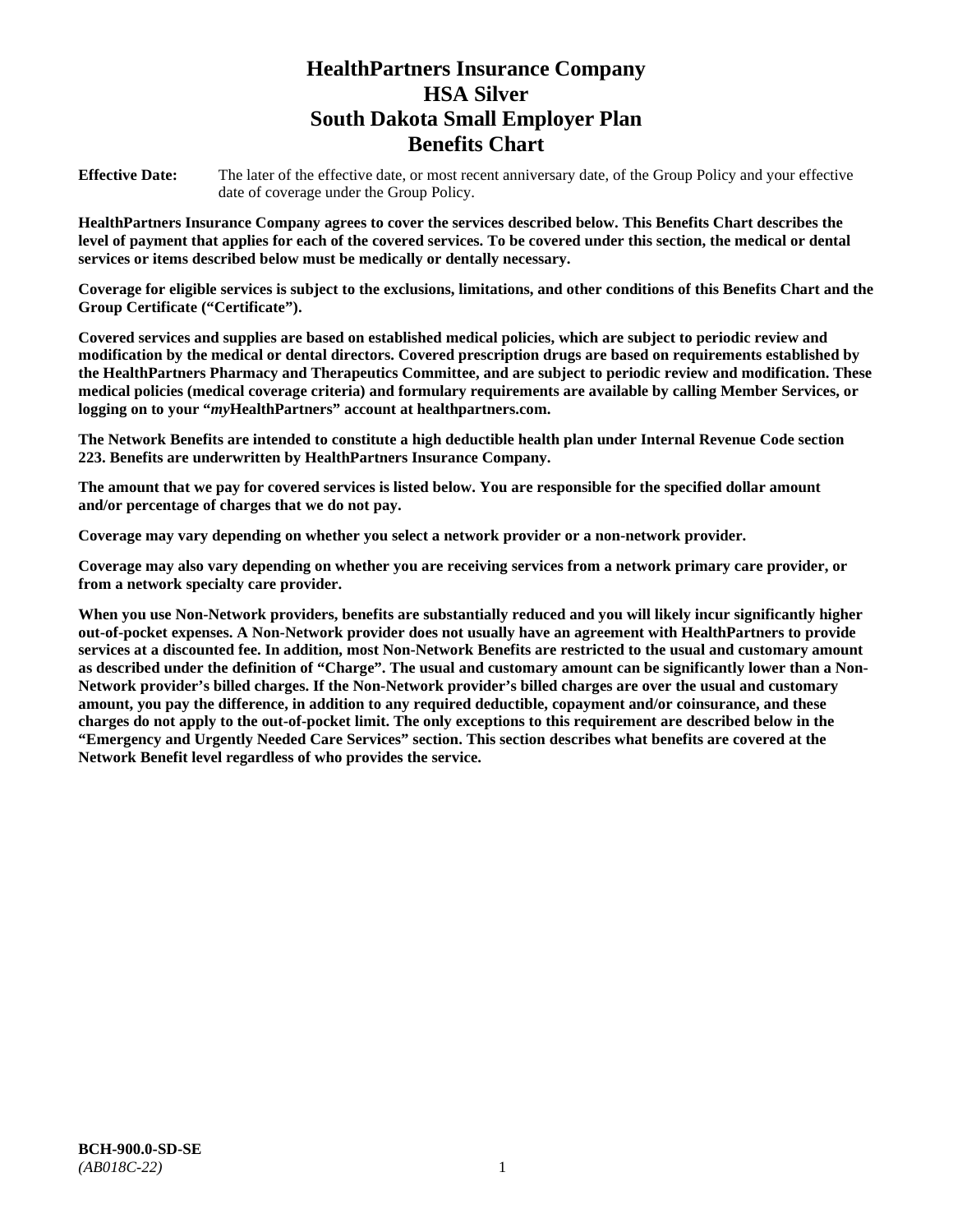# **HealthPartners Insurance Company HSA Silver South Dakota Small Employer Plan Benefits Chart**

**Effective Date:** The later of the effective date, or most recent anniversary date, of the Group Policy and your effective date of coverage under the Group Policy.

**HealthPartners Insurance Company agrees to cover the services described below. This Benefits Chart describes the level of payment that applies for each of the covered services. To be covered under this section, the medical or dental services or items described below must be medically or dentally necessary.**

**Coverage for eligible services is subject to the exclusions, limitations, and other conditions of this Benefits Chart and the Group Certificate ("Certificate").**

**Covered services and supplies are based on established medical policies, which are subject to periodic review and modification by the medical or dental directors. Covered prescription drugs are based on requirements established by the HealthPartners Pharmacy and Therapeutics Committee, and are subject to periodic review and modification. These medical policies (medical coverage criteria) and formulary requirements are available by calling Member Services, or logging on to your "***my***HealthPartners" account at [healthpartners.com.](file://isntmacsrv0/www.healthpartners.com)**

**The Network Benefits are intended to constitute a high deductible health plan under Internal Revenue Code section 223. Benefits are underwritten by HealthPartners Insurance Company.**

**The amount that we pay for covered services is listed below. You are responsible for the specified dollar amount and/or percentage of charges that we do not pay.**

**Coverage may vary depending on whether you select a network provider or a non-network provider.**

**Coverage may also vary depending on whether you are receiving services from a network primary care provider, or from a network specialty care provider.**

**When you use Non-Network providers, benefits are substantially reduced and you will likely incur significantly higher out-of-pocket expenses. A Non-Network provider does not usually have an agreement with HealthPartners to provide services at a discounted fee. In addition, most Non-Network Benefits are restricted to the usual and customary amount as described under the definition of "Charge". The usual and customary amount can be significantly lower than a Non-Network provider's billed charges. If the Non-Network provider's billed charges are over the usual and customary amount, you pay the difference, in addition to any required deductible, copayment and/or coinsurance, and these charges do not apply to the out-of-pocket limit. The only exceptions to this requirement are described below in the "Emergency and Urgently Needed Care Services" section. This section describes what benefits are covered at the Network Benefit level regardless of who provides the service.**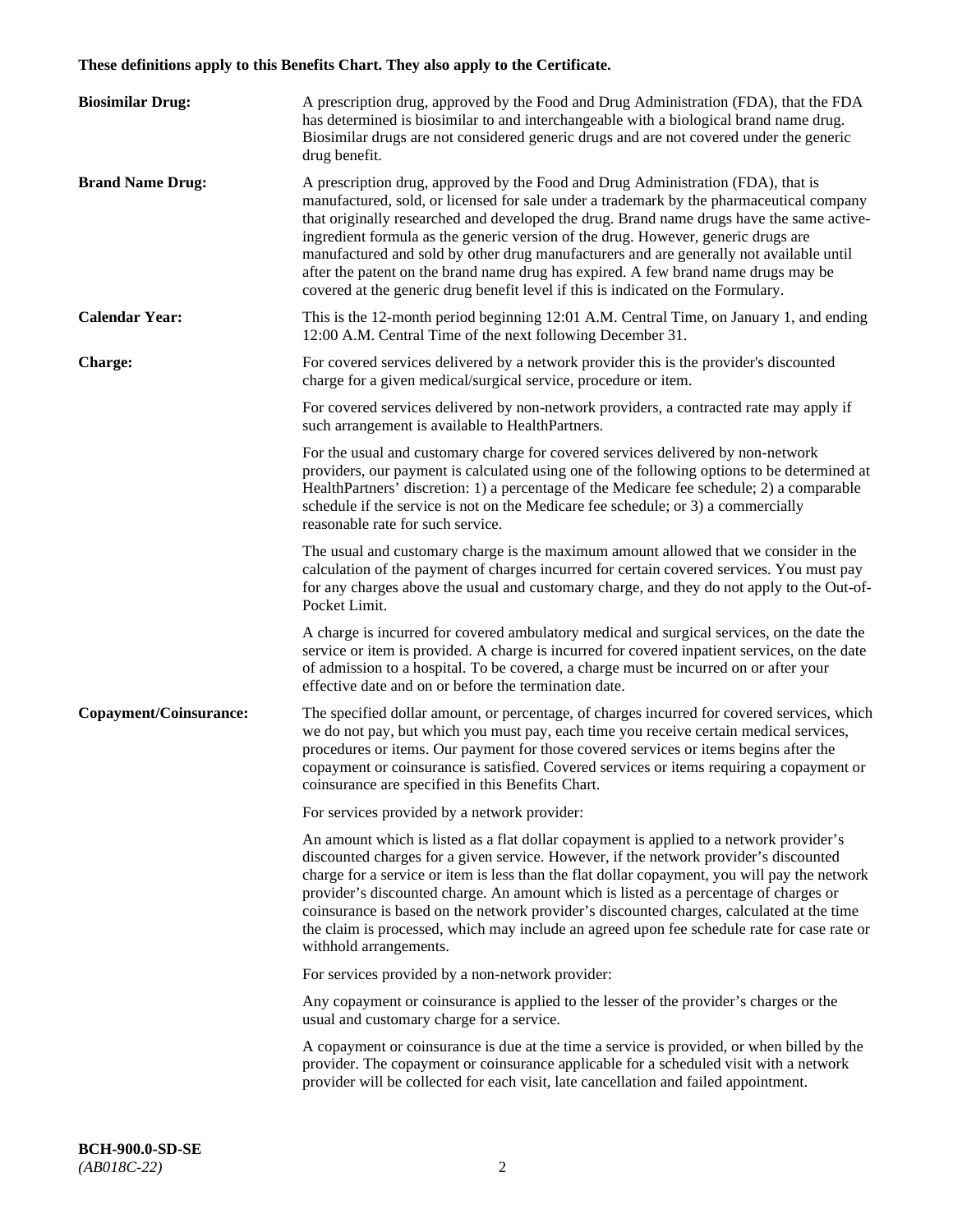# **These definitions apply to this Benefits Chart. They also apply to the Certificate.**

| <b>Biosimilar Drug:</b> | A prescription drug, approved by the Food and Drug Administration (FDA), that the FDA<br>has determined is biosimilar to and interchangeable with a biological brand name drug.<br>Biosimilar drugs are not considered generic drugs and are not covered under the generic<br>drug benefit.                                                                                                                                                                                                                                                                                                                                         |
|-------------------------|-------------------------------------------------------------------------------------------------------------------------------------------------------------------------------------------------------------------------------------------------------------------------------------------------------------------------------------------------------------------------------------------------------------------------------------------------------------------------------------------------------------------------------------------------------------------------------------------------------------------------------------|
| <b>Brand Name Drug:</b> | A prescription drug, approved by the Food and Drug Administration (FDA), that is<br>manufactured, sold, or licensed for sale under a trademark by the pharmaceutical company<br>that originally researched and developed the drug. Brand name drugs have the same active-<br>ingredient formula as the generic version of the drug. However, generic drugs are<br>manufactured and sold by other drug manufacturers and are generally not available until<br>after the patent on the brand name drug has expired. A few brand name drugs may be<br>covered at the generic drug benefit level if this is indicated on the Formulary. |
| <b>Calendar Year:</b>   | This is the 12-month period beginning 12:01 A.M. Central Time, on January 1, and ending<br>12:00 A.M. Central Time of the next following December 31.                                                                                                                                                                                                                                                                                                                                                                                                                                                                               |
| <b>Charge:</b>          | For covered services delivered by a network provider this is the provider's discounted<br>charge for a given medical/surgical service, procedure or item.                                                                                                                                                                                                                                                                                                                                                                                                                                                                           |
|                         | For covered services delivered by non-network providers, a contracted rate may apply if<br>such arrangement is available to HealthPartners.                                                                                                                                                                                                                                                                                                                                                                                                                                                                                         |
|                         | For the usual and customary charge for covered services delivered by non-network<br>providers, our payment is calculated using one of the following options to be determined at<br>HealthPartners' discretion: 1) a percentage of the Medicare fee schedule; 2) a comparable<br>schedule if the service is not on the Medicare fee schedule; or 3) a commercially<br>reasonable rate for such service.                                                                                                                                                                                                                              |
|                         | The usual and customary charge is the maximum amount allowed that we consider in the<br>calculation of the payment of charges incurred for certain covered services. You must pay<br>for any charges above the usual and customary charge, and they do not apply to the Out-of-<br>Pocket Limit.                                                                                                                                                                                                                                                                                                                                    |
|                         | A charge is incurred for covered ambulatory medical and surgical services, on the date the<br>service or item is provided. A charge is incurred for covered inpatient services, on the date<br>of admission to a hospital. To be covered, a charge must be incurred on or after your<br>effective date and on or before the termination date.                                                                                                                                                                                                                                                                                       |
| Copayment/Coinsurance:  | The specified dollar amount, or percentage, of charges incurred for covered services, which<br>we do not pay, but which you must pay, each time you receive certain medical services,<br>procedures or items. Our payment for those covered services or items begins after the<br>copayment or coinsurance is satisfied. Covered services or items requiring a copayment or<br>coinsurance are specified in this Benefits Chart.                                                                                                                                                                                                    |
|                         | For services provided by a network provider:                                                                                                                                                                                                                                                                                                                                                                                                                                                                                                                                                                                        |
|                         | An amount which is listed as a flat dollar copayment is applied to a network provider's<br>discounted charges for a given service. However, if the network provider's discounted<br>charge for a service or item is less than the flat dollar copayment, you will pay the network<br>provider's discounted charge. An amount which is listed as a percentage of charges or<br>coinsurance is based on the network provider's discounted charges, calculated at the time<br>the claim is processed, which may include an agreed upon fee schedule rate for case rate or<br>withhold arrangements.                                    |
|                         | For services provided by a non-network provider:                                                                                                                                                                                                                                                                                                                                                                                                                                                                                                                                                                                    |
|                         | Any copayment or coinsurance is applied to the lesser of the provider's charges or the<br>usual and customary charge for a service.                                                                                                                                                                                                                                                                                                                                                                                                                                                                                                 |
|                         | A copayment or coinsurance is due at the time a service is provided, or when billed by the<br>provider. The copayment or coinsurance applicable for a scheduled visit with a network<br>provider will be collected for each visit, late cancellation and failed appointment.                                                                                                                                                                                                                                                                                                                                                        |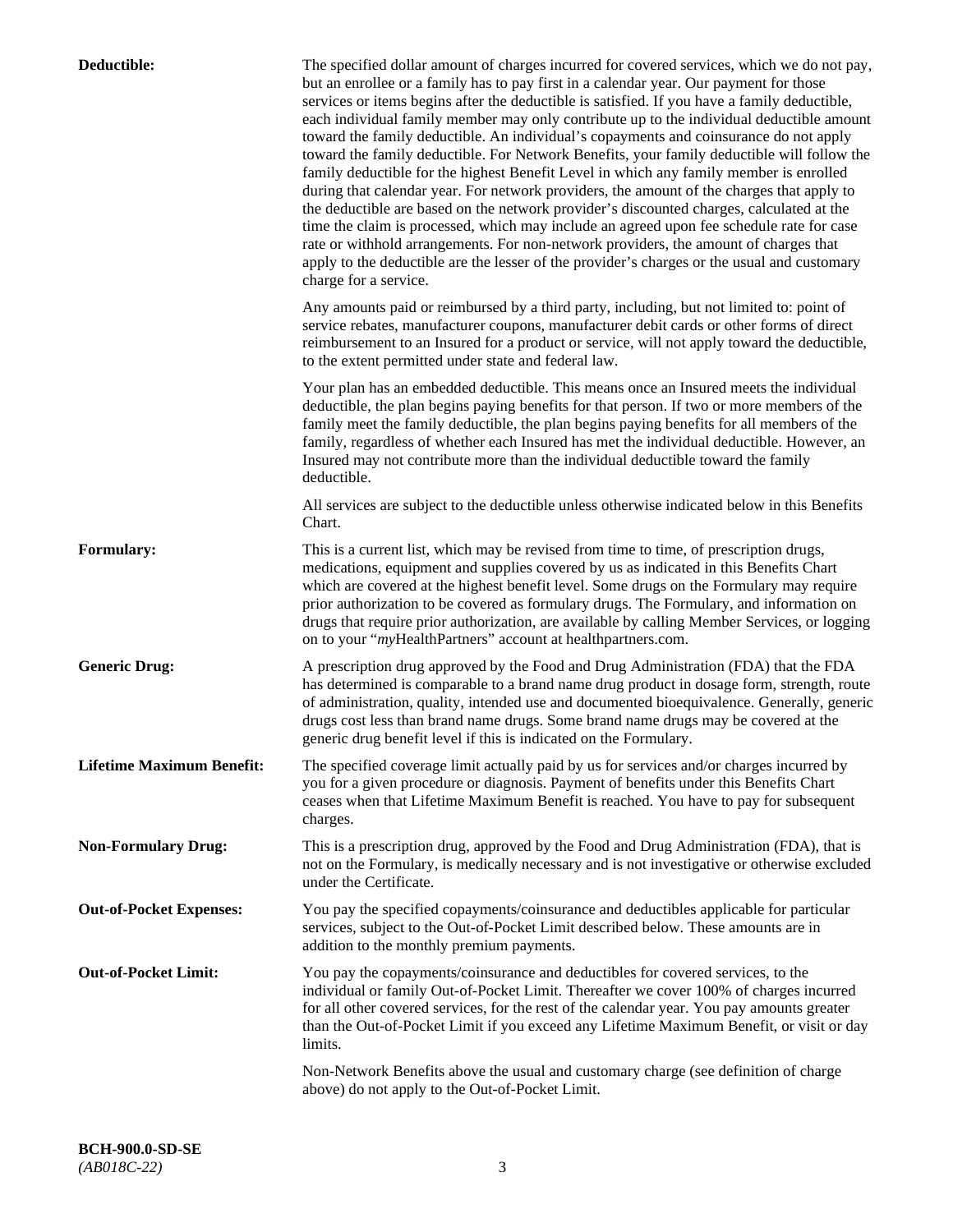| Deductible:                      | The specified dollar amount of charges incurred for covered services, which we do not pay,<br>but an enrollee or a family has to pay first in a calendar year. Our payment for those<br>services or items begins after the deductible is satisfied. If you have a family deductible,<br>each individual family member may only contribute up to the individual deductible amount<br>toward the family deductible. An individual's copayments and coinsurance do not apply<br>toward the family deductible. For Network Benefits, your family deductible will follow the<br>family deductible for the highest Benefit Level in which any family member is enrolled<br>during that calendar year. For network providers, the amount of the charges that apply to<br>the deductible are based on the network provider's discounted charges, calculated at the<br>time the claim is processed, which may include an agreed upon fee schedule rate for case<br>rate or withhold arrangements. For non-network providers, the amount of charges that<br>apply to the deductible are the lesser of the provider's charges or the usual and customary<br>charge for a service. |
|----------------------------------|------------------------------------------------------------------------------------------------------------------------------------------------------------------------------------------------------------------------------------------------------------------------------------------------------------------------------------------------------------------------------------------------------------------------------------------------------------------------------------------------------------------------------------------------------------------------------------------------------------------------------------------------------------------------------------------------------------------------------------------------------------------------------------------------------------------------------------------------------------------------------------------------------------------------------------------------------------------------------------------------------------------------------------------------------------------------------------------------------------------------------------------------------------------------|
|                                  | Any amounts paid or reimbursed by a third party, including, but not limited to: point of<br>service rebates, manufacturer coupons, manufacturer debit cards or other forms of direct<br>reimbursement to an Insured for a product or service, will not apply toward the deductible,<br>to the extent permitted under state and federal law.                                                                                                                                                                                                                                                                                                                                                                                                                                                                                                                                                                                                                                                                                                                                                                                                                            |
|                                  | Your plan has an embedded deductible. This means once an Insured meets the individual<br>deductible, the plan begins paying benefits for that person. If two or more members of the<br>family meet the family deductible, the plan begins paying benefits for all members of the<br>family, regardless of whether each Insured has met the individual deductible. However, an<br>Insured may not contribute more than the individual deductible toward the family<br>deductible.                                                                                                                                                                                                                                                                                                                                                                                                                                                                                                                                                                                                                                                                                       |
|                                  | All services are subject to the deductible unless otherwise indicated below in this Benefits<br>Chart.                                                                                                                                                                                                                                                                                                                                                                                                                                                                                                                                                                                                                                                                                                                                                                                                                                                                                                                                                                                                                                                                 |
| <b>Formulary:</b>                | This is a current list, which may be revised from time to time, of prescription drugs,<br>medications, equipment and supplies covered by us as indicated in this Benefits Chart<br>which are covered at the highest benefit level. Some drugs on the Formulary may require<br>prior authorization to be covered as formulary drugs. The Formulary, and information on<br>drugs that require prior authorization, are available by calling Member Services, or logging<br>on to your "myHealthPartners" account at healthpartners.com.                                                                                                                                                                                                                                                                                                                                                                                                                                                                                                                                                                                                                                  |
| <b>Generic Drug:</b>             | A prescription drug approved by the Food and Drug Administration (FDA) that the FDA<br>has determined is comparable to a brand name drug product in dosage form, strength, route<br>of administration, quality, intended use and documented bioequivalence. Generally, generic<br>drugs cost less than brand name drugs. Some brand name drugs may be covered at the<br>generic drug benefit level if this is indicated on the Formulary.                                                                                                                                                                                                                                                                                                                                                                                                                                                                                                                                                                                                                                                                                                                              |
| <b>Lifetime Maximum Benefit:</b> | The specified coverage limit actually paid by us for services and/or charges incurred by<br>you for a given procedure or diagnosis. Payment of benefits under this Benefits Chart<br>ceases when that Lifetime Maximum Benefit is reached. You have to pay for subsequent<br>charges.                                                                                                                                                                                                                                                                                                                                                                                                                                                                                                                                                                                                                                                                                                                                                                                                                                                                                  |
| <b>Non-Formulary Drug:</b>       | This is a prescription drug, approved by the Food and Drug Administration (FDA), that is<br>not on the Formulary, is medically necessary and is not investigative or otherwise excluded<br>under the Certificate.                                                                                                                                                                                                                                                                                                                                                                                                                                                                                                                                                                                                                                                                                                                                                                                                                                                                                                                                                      |
| <b>Out-of-Pocket Expenses:</b>   | You pay the specified copayments/coinsurance and deductibles applicable for particular<br>services, subject to the Out-of-Pocket Limit described below. These amounts are in<br>addition to the monthly premium payments.                                                                                                                                                                                                                                                                                                                                                                                                                                                                                                                                                                                                                                                                                                                                                                                                                                                                                                                                              |
| <b>Out-of-Pocket Limit:</b>      | You pay the copayments/coinsurance and deductibles for covered services, to the<br>individual or family Out-of-Pocket Limit. Thereafter we cover 100% of charges incurred<br>for all other covered services, for the rest of the calendar year. You pay amounts greater<br>than the Out-of-Pocket Limit if you exceed any Lifetime Maximum Benefit, or visit or day<br>limits.                                                                                                                                                                                                                                                                                                                                                                                                                                                                                                                                                                                                                                                                                                                                                                                         |
|                                  | Non-Network Benefits above the usual and customary charge (see definition of charge<br>above) do not apply to the Out-of-Pocket Limit.                                                                                                                                                                                                                                                                                                                                                                                                                                                                                                                                                                                                                                                                                                                                                                                                                                                                                                                                                                                                                                 |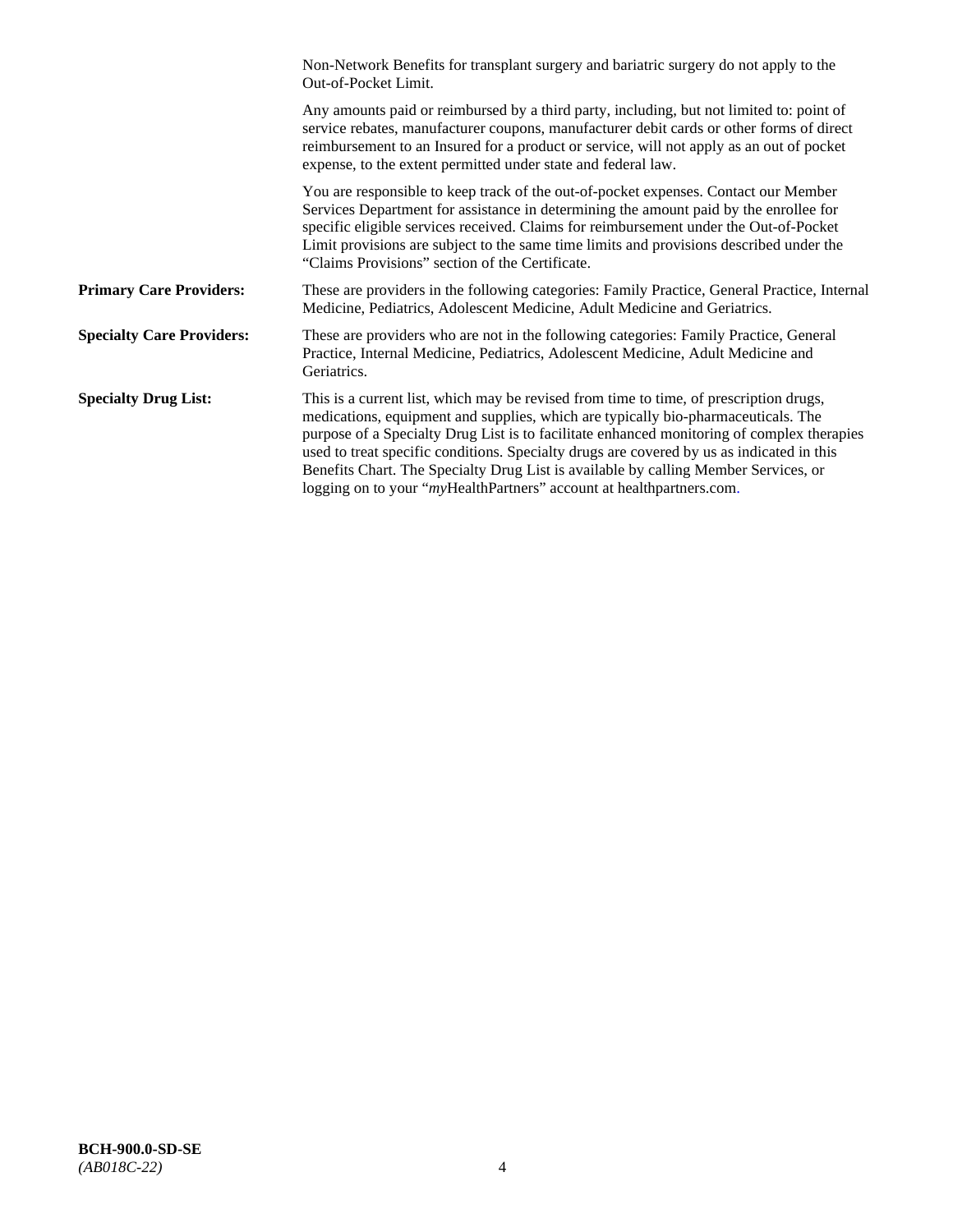|                                  | Non-Network Benefits for transplant surgery and bariatric surgery do not apply to the<br>Out-of-Pocket Limit.                                                                                                                                                                                                                                                                                                                                                                                                                         |
|----------------------------------|---------------------------------------------------------------------------------------------------------------------------------------------------------------------------------------------------------------------------------------------------------------------------------------------------------------------------------------------------------------------------------------------------------------------------------------------------------------------------------------------------------------------------------------|
|                                  | Any amounts paid or reimbursed by a third party, including, but not limited to: point of<br>service rebates, manufacturer coupons, manufacturer debit cards or other forms of direct<br>reimbursement to an Insured for a product or service, will not apply as an out of pocket<br>expense, to the extent permitted under state and federal law.                                                                                                                                                                                     |
|                                  | You are responsible to keep track of the out-of-pocket expenses. Contact our Member<br>Services Department for assistance in determining the amount paid by the enrollee for<br>specific eligible services received. Claims for reimbursement under the Out-of-Pocket<br>Limit provisions are subject to the same time limits and provisions described under the<br>"Claims Provisions" section of the Certificate.                                                                                                                   |
| <b>Primary Care Providers:</b>   | These are providers in the following categories: Family Practice, General Practice, Internal<br>Medicine, Pediatrics, Adolescent Medicine, Adult Medicine and Geriatrics.                                                                                                                                                                                                                                                                                                                                                             |
| <b>Specialty Care Providers:</b> | These are providers who are not in the following categories: Family Practice, General<br>Practice, Internal Medicine, Pediatrics, Adolescent Medicine, Adult Medicine and<br>Geriatrics.                                                                                                                                                                                                                                                                                                                                              |
| <b>Specialty Drug List:</b>      | This is a current list, which may be revised from time to time, of prescription drugs,<br>medications, equipment and supplies, which are typically bio-pharmaceuticals. The<br>purpose of a Specialty Drug List is to facilitate enhanced monitoring of complex therapies<br>used to treat specific conditions. Specialty drugs are covered by us as indicated in this<br>Benefits Chart. The Specialty Drug List is available by calling Member Services, or<br>logging on to your "myHealthPartners" account at healthpartners.com. |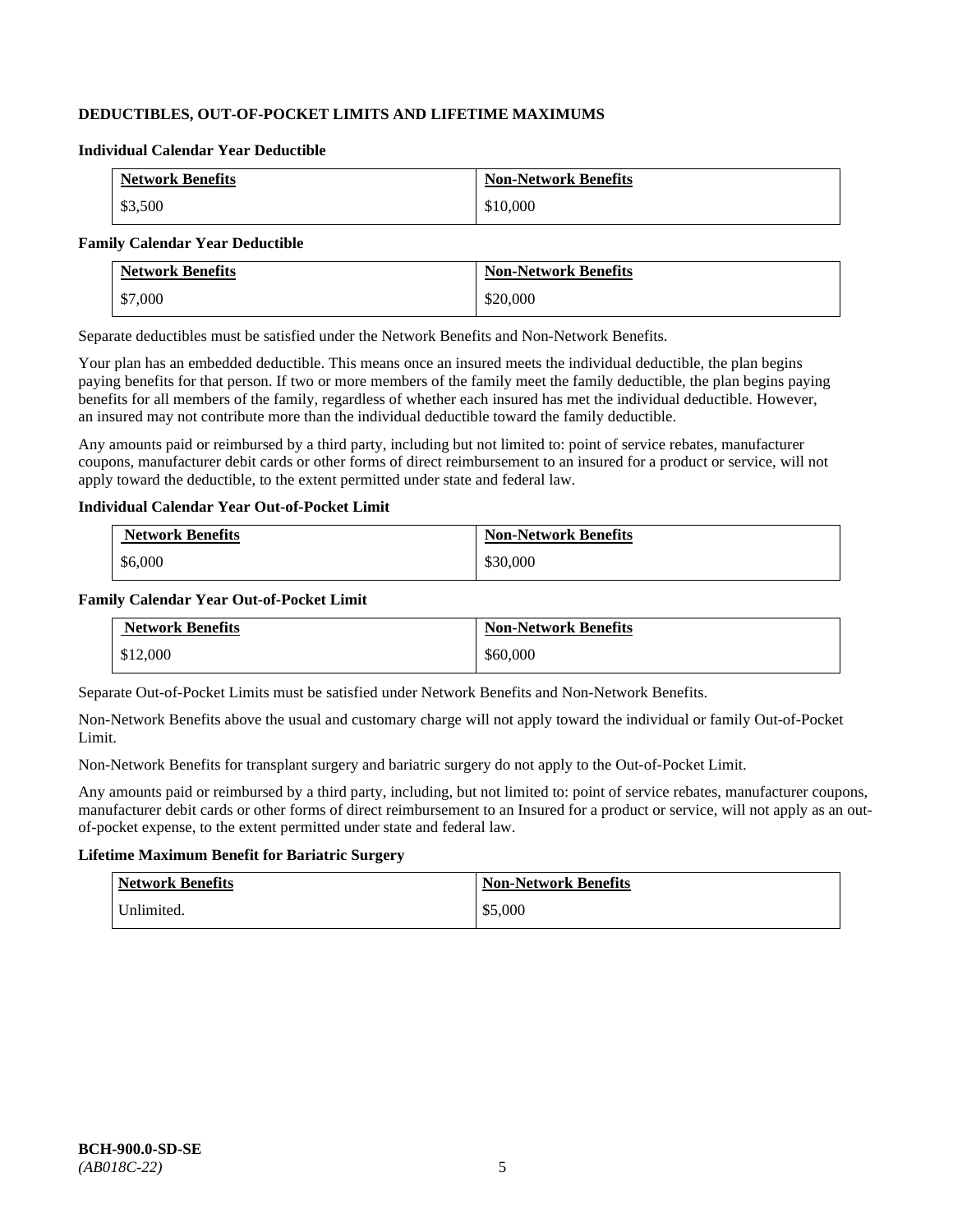# **DEDUCTIBLES, OUT-OF-POCKET LIMITS AND LIFETIME MAXIMUMS**

#### **Individual Calendar Year Deductible**

| <b>Network Benefits</b> | <b>Non-Network Benefits</b> |
|-------------------------|-----------------------------|
| \$3,500                 | \$10,000                    |

#### **Family Calendar Year Deductible**

| <b>Network Benefits</b> | <b>Non-Network Benefits</b> |
|-------------------------|-----------------------------|
| \$7,000                 | \$20,000                    |

Separate deductibles must be satisfied under the Network Benefits and Non-Network Benefits.

Your plan has an embedded deductible. This means once an insured meets the individual deductible, the plan begins paying benefits for that person. If two or more members of the family meet the family deductible, the plan begins paying benefits for all members of the family, regardless of whether each insured has met the individual deductible. However, an insured may not contribute more than the individual deductible toward the family deductible.

Any amounts paid or reimbursed by a third party, including but not limited to: point of service rebates, manufacturer coupons, manufacturer debit cards or other forms of direct reimbursement to an insured for a product or service, will not apply toward the deductible, to the extent permitted under state and federal law.

### **Individual Calendar Year Out-of-Pocket Limit**

| <b>Network Benefits</b> | <b>Non-Network Benefits</b> |
|-------------------------|-----------------------------|
| \$6,000                 | \$30,000                    |

### **Family Calendar Year Out-of-Pocket Limit**

| <b>Network Benefits</b> | <b>Non-Network Benefits</b> |
|-------------------------|-----------------------------|
| \$12,000                | \$60,000                    |

Separate Out-of-Pocket Limits must be satisfied under Network Benefits and Non-Network Benefits.

Non-Network Benefits above the usual and customary charge will not apply toward the individual or family Out-of-Pocket Limit.

Non-Network Benefits for transplant surgery and bariatric surgery do not apply to the Out-of-Pocket Limit.

Any amounts paid or reimbursed by a third party, including, but not limited to: point of service rebates, manufacturer coupons, manufacturer debit cards or other forms of direct reimbursement to an Insured for a product or service, will not apply as an outof-pocket expense, to the extent permitted under state and federal law.

# **Lifetime Maximum Benefit for Bariatric Surgery**

| <b>Network Benefits</b> | <b>Non-Network Benefits</b> |
|-------------------------|-----------------------------|
| Unlimited.              | \$5,000                     |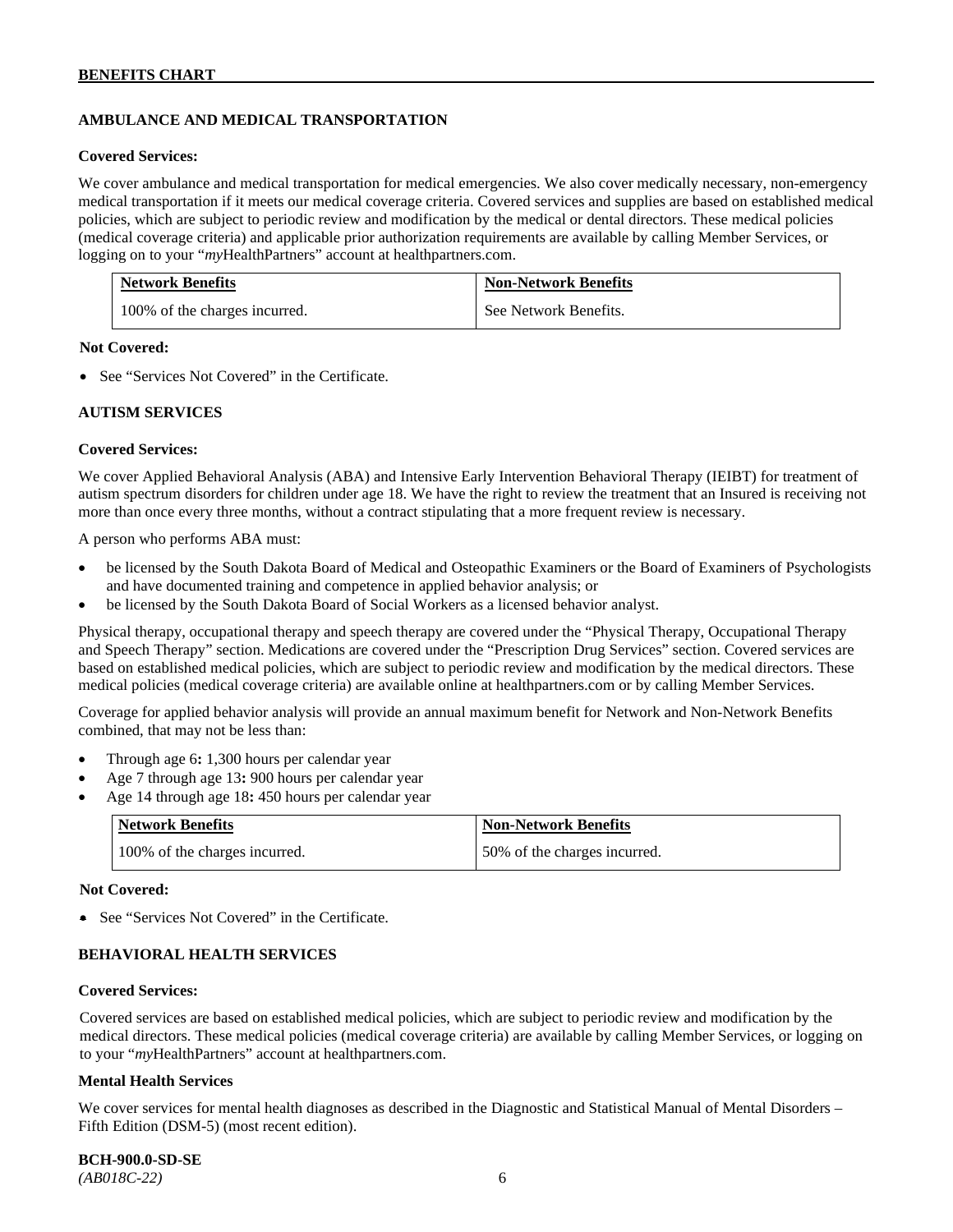# **AMBULANCE AND MEDICAL TRANSPORTATION**

#### **Covered Services:**

We cover ambulance and medical transportation for medical emergencies. We also cover medically necessary, non-emergency medical transportation if it meets our medical coverage criteria. Covered services and supplies are based on established medical policies, which are subject to periodic review and modification by the medical or dental directors. These medical policies (medical coverage criteria) and applicable prior authorization requirements are available by calling Member Services, or logging on to your "*my*HealthPartners" account at [healthpartners.com.](http://healthpartners.com/)

| <b>Network Benefits</b>       | <b>Non-Network Benefits</b> |
|-------------------------------|-----------------------------|
| 100% of the charges incurred. | See Network Benefits.       |

### **Not Covered:**

• See "Services Not Covered" in the Certificate.

### **AUTISM SERVICES**

### **Covered Services:**

We cover Applied Behavioral Analysis (ABA) and Intensive Early Intervention Behavioral Therapy (IEIBT) for treatment of autism spectrum disorders for children under age 18. We have the right to review the treatment that an Insured is receiving not more than once every three months, without a contract stipulating that a more frequent review is necessary.

A person who performs ABA must:

- be licensed by the South Dakota Board of Medical and Osteopathic Examiners or the Board of Examiners of Psychologists and have documented training and competence in applied behavior analysis; or
- be licensed by the South Dakota Board of Social Workers as a licensed behavior analyst.

Physical therapy, occupational therapy and speech therapy are covered under the "Physical Therapy, Occupational Therapy and Speech Therapy" section. Medications are covered under the "Prescription Drug Services" section. Covered services are based on established medical policies, which are subject to periodic review and modification by the medical directors. These medical policies (medical coverage criteria) are available online at [healthpartners.com](http://healthpartners.com/) or by calling Member Services.

Coverage for applied behavior analysis will provide an annual maximum benefit for Network and Non-Network Benefits combined, that may not be less than:

- Through age 6**:** 1,300 hours per calendar year
- Age 7 through age 13**:** 900 hours per calendar year
- Age 14 through age 18**:** 450 hours per calendar year

| <b>Network Benefits</b>       | <b>Non-Network Benefits</b>  |
|-------------------------------|------------------------------|
| 100% of the charges incurred. | 50% of the charges incurred. |

#### **Not Covered:**

• See "Services Not Covered" in the Certificate.

# **BEHAVIORAL HEALTH SERVICES**

#### **Covered Services:**

Covered services are based on established medical policies, which are subject to periodic review and modification by the medical directors. These medical policies (medical coverage criteria) are available by calling Member Services, or logging on to your "*my*HealthPartners" account at [healthpartners.com.](http://healthpartners.com/)

#### **Mental Health Services**

We cover services for mental health diagnoses as described in the Diagnostic and Statistical Manual of Mental Disorders – Fifth Edition (DSM-5) (most recent edition).

**BCH-900.0-SD-SE**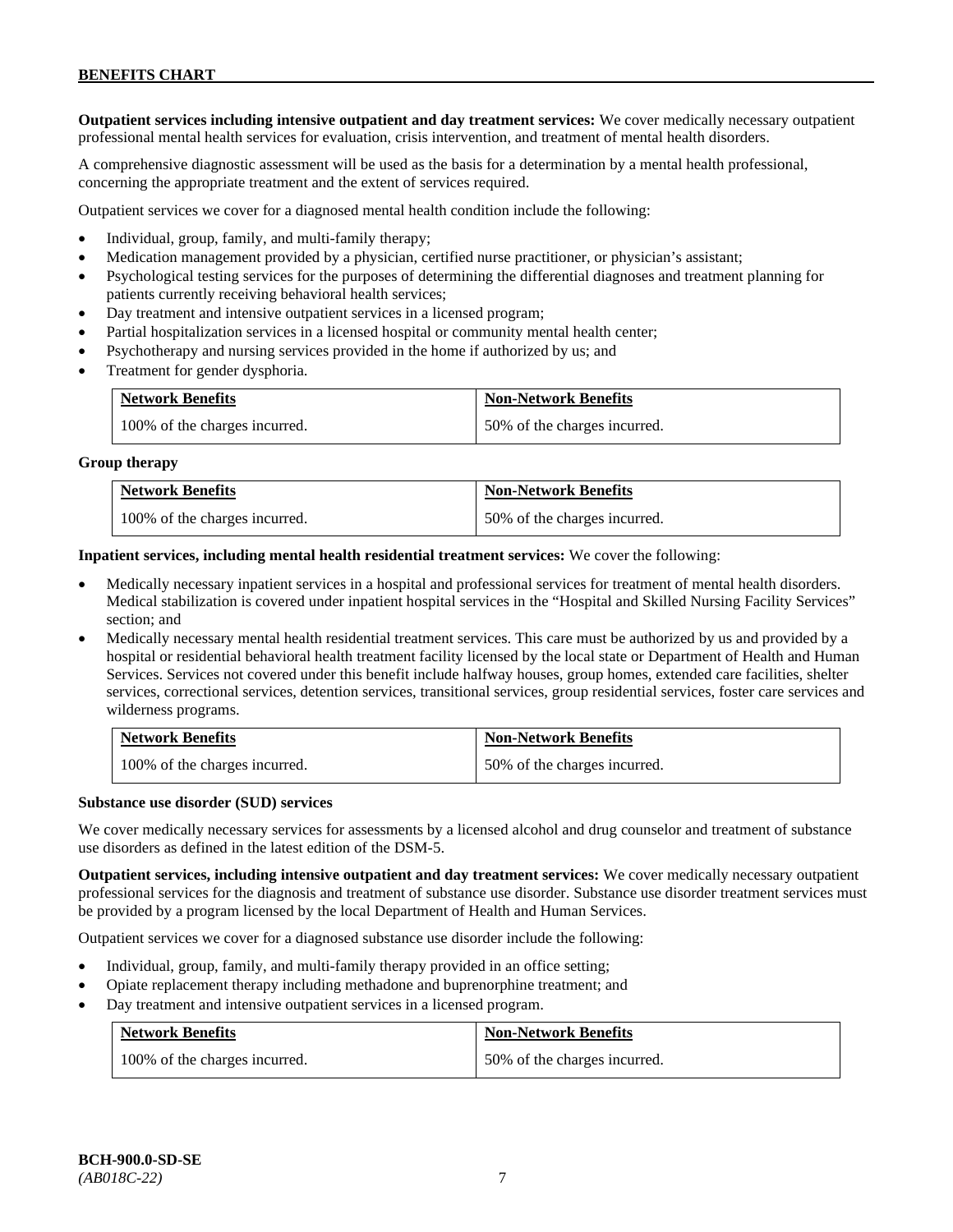**Outpatient services including intensive outpatient and day treatment services:** We cover medically necessary outpatient professional mental health services for evaluation, crisis intervention, and treatment of mental health disorders.

A comprehensive diagnostic assessment will be used as the basis for a determination by a mental health professional, concerning the appropriate treatment and the extent of services required.

Outpatient services we cover for a diagnosed mental health condition include the following:

- Individual, group, family, and multi-family therapy;
- Medication management provided by a physician, certified nurse practitioner, or physician's assistant;
- Psychological testing services for the purposes of determining the differential diagnoses and treatment planning for patients currently receiving behavioral health services;
- Day treatment and intensive outpatient services in a licensed program;
- Partial hospitalization services in a licensed hospital or community mental health center;
- Psychotherapy and nursing services provided in the home if authorized by us; and
- Treatment for gender dysphoria.

| <b>Network Benefits</b>       | <b>Non-Network Benefits</b>  |
|-------------------------------|------------------------------|
| 100% of the charges incurred. | 50% of the charges incurred. |

#### **Group therapy**

| <b>Network Benefits</b>       | <b>Non-Network Benefits</b>  |
|-------------------------------|------------------------------|
| 100% of the charges incurred. | 50% of the charges incurred. |

**Inpatient services, including mental health residential treatment services:** We cover the following:

- Medically necessary inpatient services in a hospital and professional services for treatment of mental health disorders. Medical stabilization is covered under inpatient hospital services in the "Hospital and Skilled Nursing Facility Services" section; and
- Medically necessary mental health residential treatment services. This care must be authorized by us and provided by a hospital or residential behavioral health treatment facility licensed by the local state or Department of Health and Human Services. Services not covered under this benefit include halfway houses, group homes, extended care facilities, shelter services, correctional services, detention services, transitional services, group residential services, foster care services and wilderness programs.

| <b>Network Benefits</b>       | <b>Non-Network Benefits</b>  |
|-------------------------------|------------------------------|
| 100% of the charges incurred. | 50% of the charges incurred. |

#### **Substance use disorder (SUD) services**

We cover medically necessary services for assessments by a licensed alcohol and drug counselor and treatment of substance use disorders as defined in the latest edition of the DSM-5.

**Outpatient services, including intensive outpatient and day treatment services:** We cover medically necessary outpatient professional services for the diagnosis and treatment of substance use disorder. Substance use disorder treatment services must be provided by a program licensed by the local Department of Health and Human Services.

Outpatient services we cover for a diagnosed substance use disorder include the following:

- Individual, group, family, and multi-family therapy provided in an office setting;
- Opiate replacement therapy including methadone and buprenorphine treatment; and
- Day treatment and intensive outpatient services in a licensed program.

| <b>Network Benefits</b>       | <b>Non-Network Benefits</b>  |
|-------------------------------|------------------------------|
| 100% of the charges incurred. | 50% of the charges incurred. |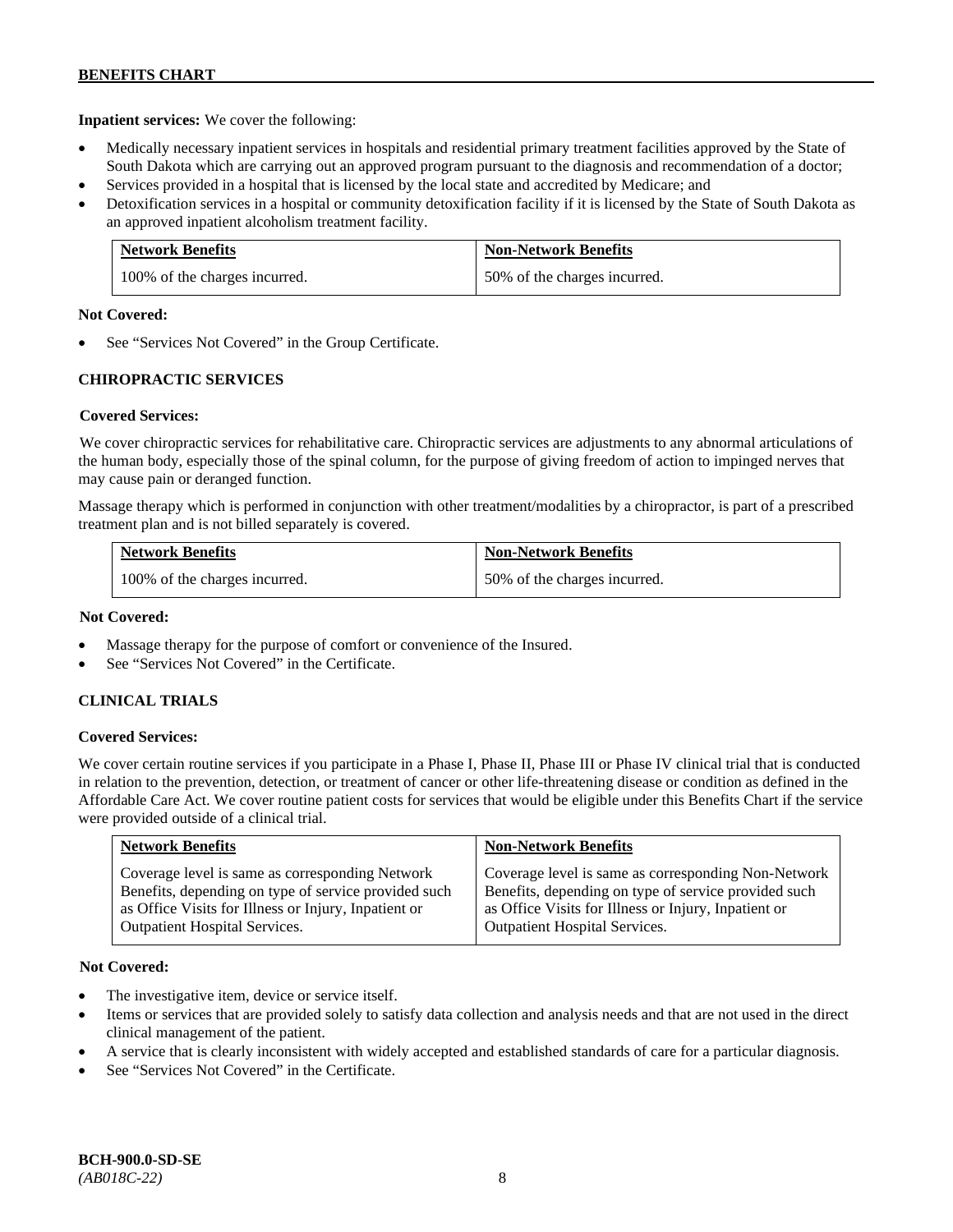**Inpatient services:** We cover the following:

- Medically necessary inpatient services in hospitals and residential primary treatment facilities approved by the State of South Dakota which are carrying out an approved program pursuant to the diagnosis and recommendation of a doctor;
- Services provided in a hospital that is licensed by the local state and accredited by Medicare; and
- Detoxification services in a hospital or community detoxification facility if it is licensed by the State of South Dakota as an approved inpatient alcoholism treatment facility.

| <b>Network Benefits</b>       | <b>Non-Network Benefits</b>  |
|-------------------------------|------------------------------|
| 100% of the charges incurred. | 50% of the charges incurred. |

### **Not Covered:**

See "Services Not Covered" in the Group Certificate.

# **CHIROPRACTIC SERVICES**

# **Covered Services:**

We cover chiropractic services for rehabilitative care. Chiropractic services are adjustments to any abnormal articulations of the human body, especially those of the spinal column, for the purpose of giving freedom of action to impinged nerves that may cause pain or deranged function.

Massage therapy which is performed in conjunction with other treatment/modalities by a chiropractor, is part of a prescribed treatment plan and is not billed separately is covered.

| <b>Network Benefits</b>       | <b>Non-Network Benefits</b>  |
|-------------------------------|------------------------------|
| 100% of the charges incurred. | 50% of the charges incurred. |

### **Not Covered:**

- Massage therapy for the purpose of comfort or convenience of the Insured.
- See "Services Not Covered" in the Certificate.

# **CLINICAL TRIALS**

# **Covered Services:**

We cover certain routine services if you participate in a Phase I, Phase II, Phase III or Phase IV clinical trial that is conducted in relation to the prevention, detection, or treatment of cancer or other life-threatening disease or condition as defined in the Affordable Care Act. We cover routine patient costs for services that would be eligible under this Benefits Chart if the service were provided outside of a clinical trial.

| <b>Network Benefits</b>                              | <b>Non-Network Benefits</b>                          |
|------------------------------------------------------|------------------------------------------------------|
| Coverage level is same as corresponding Network      | Coverage level is same as corresponding Non-Network  |
| Benefits, depending on type of service provided such | Benefits, depending on type of service provided such |
| as Office Visits for Illness or Injury, Inpatient or | as Office Visits for Illness or Injury, Inpatient or |
| <b>Outpatient Hospital Services.</b>                 | <b>Outpatient Hospital Services.</b>                 |

- The investigative item, device or service itself.
- Items or services that are provided solely to satisfy data collection and analysis needs and that are not used in the direct clinical management of the patient.
- A service that is clearly inconsistent with widely accepted and established standards of care for a particular diagnosis.
- See "Services Not Covered" in the Certificate.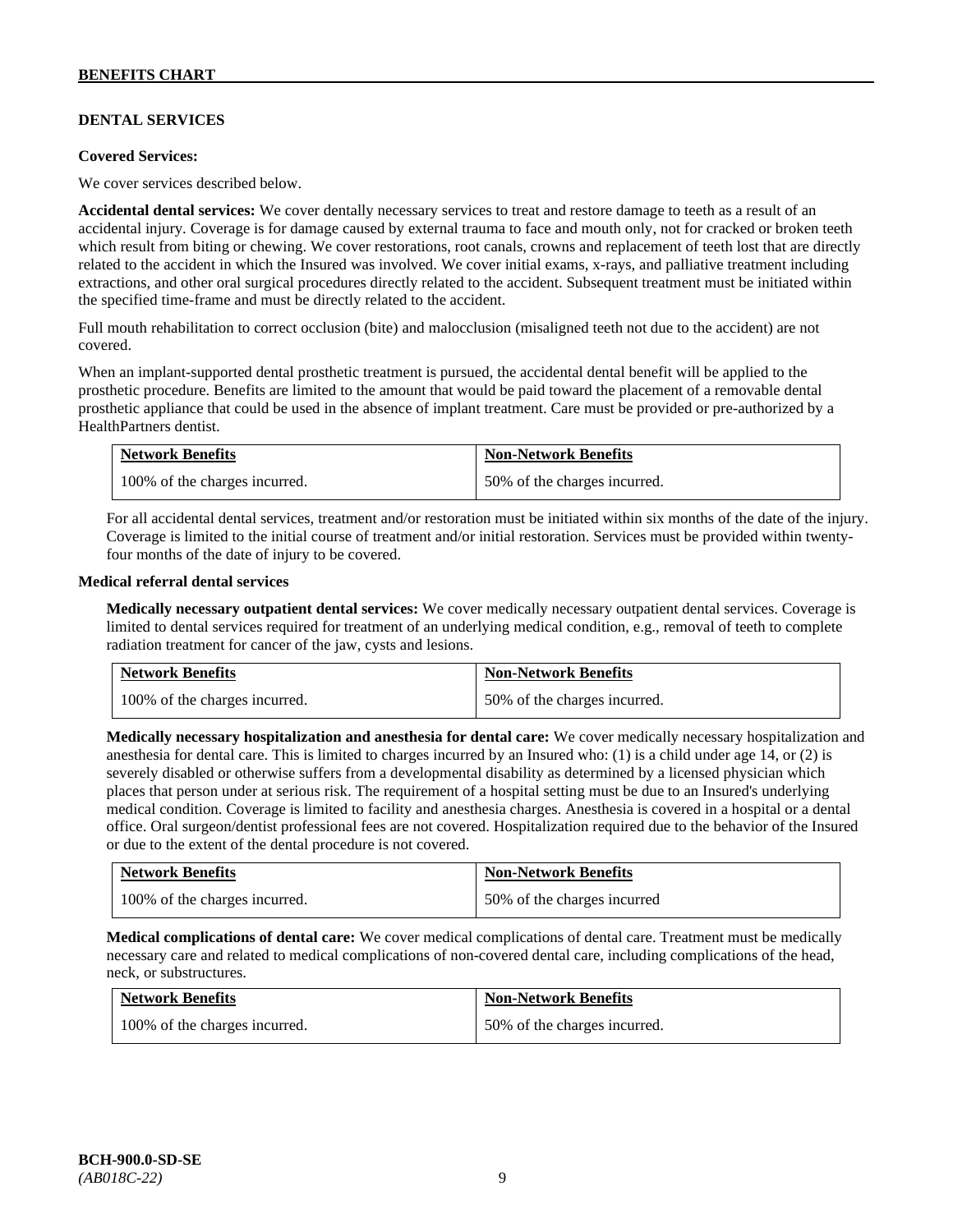# **DENTAL SERVICES**

#### **Covered Services:**

We cover services described below.

**Accidental dental services:** We cover dentally necessary services to treat and restore damage to teeth as a result of an accidental injury. Coverage is for damage caused by external trauma to face and mouth only, not for cracked or broken teeth which result from biting or chewing. We cover restorations, root canals, crowns and replacement of teeth lost that are directly related to the accident in which the Insured was involved. We cover initial exams, x-rays, and palliative treatment including extractions, and other oral surgical procedures directly related to the accident. Subsequent treatment must be initiated within the specified time-frame and must be directly related to the accident.

Full mouth rehabilitation to correct occlusion (bite) and malocclusion (misaligned teeth not due to the accident) are not covered.

When an implant-supported dental prosthetic treatment is pursued, the accidental dental benefit will be applied to the prosthetic procedure. Benefits are limited to the amount that would be paid toward the placement of a removable dental prosthetic appliance that could be used in the absence of implant treatment. Care must be provided or pre-authorized by a HealthPartners dentist.

| <b>Network Benefits</b>       | <b>Non-Network Benefits</b>  |
|-------------------------------|------------------------------|
| 100% of the charges incurred. | 50% of the charges incurred. |

For all accidental dental services, treatment and/or restoration must be initiated within six months of the date of the injury. Coverage is limited to the initial course of treatment and/or initial restoration. Services must be provided within twentyfour months of the date of injury to be covered.

### **Medical referral dental services**

**Medically necessary outpatient dental services:** We cover medically necessary outpatient dental services. Coverage is limited to dental services required for treatment of an underlying medical condition, e.g., removal of teeth to complete radiation treatment for cancer of the jaw, cysts and lesions.

| <b>Network Benefits</b>       | <b>Non-Network Benefits</b>  |
|-------------------------------|------------------------------|
| 100% of the charges incurred. | 50% of the charges incurred. |

**Medically necessary hospitalization and anesthesia for dental care:** We cover medically necessary hospitalization and anesthesia for dental care. This is limited to charges incurred by an Insured who: (1) is a child under age 14, or (2) is severely disabled or otherwise suffers from a developmental disability as determined by a licensed physician which places that person under at serious risk. The requirement of a hospital setting must be due to an Insured's underlying medical condition. Coverage is limited to facility and anesthesia charges. Anesthesia is covered in a hospital or a dental office. Oral surgeon/dentist professional fees are not covered. Hospitalization required due to the behavior of the Insured or due to the extent of the dental procedure is not covered.

| <b>Network Benefits</b>       | <b>Non-Network Benefits</b> |
|-------------------------------|-----------------------------|
| 100% of the charges incurred. | 50% of the charges incurred |

**Medical complications of dental care:** We cover medical complications of dental care. Treatment must be medically necessary care and related to medical complications of non-covered dental care, including complications of the head, neck, or substructures.

| <b>Network Benefits</b>       | <b>Non-Network Benefits</b>  |
|-------------------------------|------------------------------|
| 100% of the charges incurred. | 50% of the charges incurred. |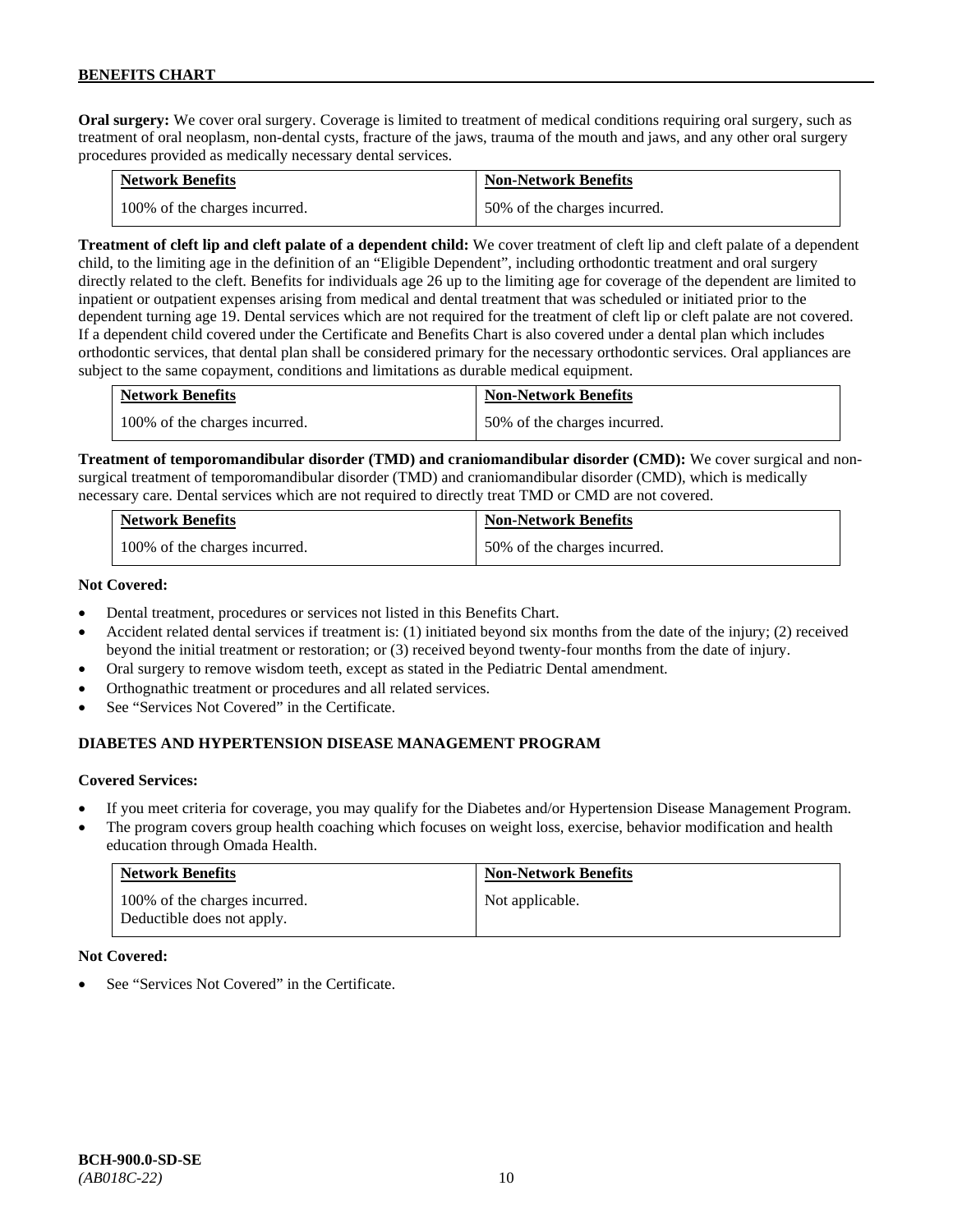**Oral surgery:** We cover oral surgery. Coverage is limited to treatment of medical conditions requiring oral surgery, such as treatment of oral neoplasm, non-dental cysts, fracture of the jaws, trauma of the mouth and jaws, and any other oral surgery procedures provided as medically necessary dental services.

| <b>Network Benefits</b>       | <b>Non-Network Benefits</b>  |
|-------------------------------|------------------------------|
| 100% of the charges incurred. | 50% of the charges incurred. |

**Treatment of cleft lip and cleft palate of a dependent child:** We cover treatment of cleft lip and cleft palate of a dependent child, to the limiting age in the definition of an "Eligible Dependent", including orthodontic treatment and oral surgery directly related to the cleft. Benefits for individuals age 26 up to the limiting age for coverage of the dependent are limited to inpatient or outpatient expenses arising from medical and dental treatment that was scheduled or initiated prior to the dependent turning age 19. Dental services which are not required for the treatment of cleft lip or cleft palate are not covered. If a dependent child covered under the Certificate and Benefits Chart is also covered under a dental plan which includes orthodontic services, that dental plan shall be considered primary for the necessary orthodontic services. Oral appliances are subject to the same copayment, conditions and limitations as durable medical equipment.

| <b>Network Benefits</b>       | <b>Non-Network Benefits</b>  |
|-------------------------------|------------------------------|
| 100% of the charges incurred. | 50% of the charges incurred. |

**Treatment of temporomandibular disorder (TMD) and craniomandibular disorder (CMD):** We cover surgical and nonsurgical treatment of temporomandibular disorder (TMD) and craniomandibular disorder (CMD), which is medically necessary care. Dental services which are not required to directly treat TMD or CMD are not covered.

| <b>Network Benefits</b>       | <b>Non-Network Benefits</b>  |
|-------------------------------|------------------------------|
| 100% of the charges incurred. | 50% of the charges incurred. |

# **Not Covered:**

- Dental treatment, procedures or services not listed in this Benefits Chart.
- Accident related dental services if treatment is: (1) initiated beyond six months from the date of the injury; (2) received beyond the initial treatment or restoration; or (3) received beyond twenty-four months from the date of injury.
- Oral surgery to remove wisdom teeth, except as stated in the Pediatric Dental amendment.
- Orthognathic treatment or procedures and all related services.
- See "Services Not Covered" in the Certificate.

# **DIABETES AND HYPERTENSION DISEASE MANAGEMENT PROGRAM**

# **Covered Services:**

- If you meet criteria for coverage, you may qualify for the Diabetes and/or Hypertension Disease Management Program.
- The program covers group health coaching which focuses on weight loss, exercise, behavior modification and health education through Omada Health.

| <b>Network Benefits</b>                                     | <b>Non-Network Benefits</b> |
|-------------------------------------------------------------|-----------------------------|
| 100% of the charges incurred.<br>Deductible does not apply. | Not applicable.             |

# **Not Covered:**

See "Services Not Covered" in the Certificate.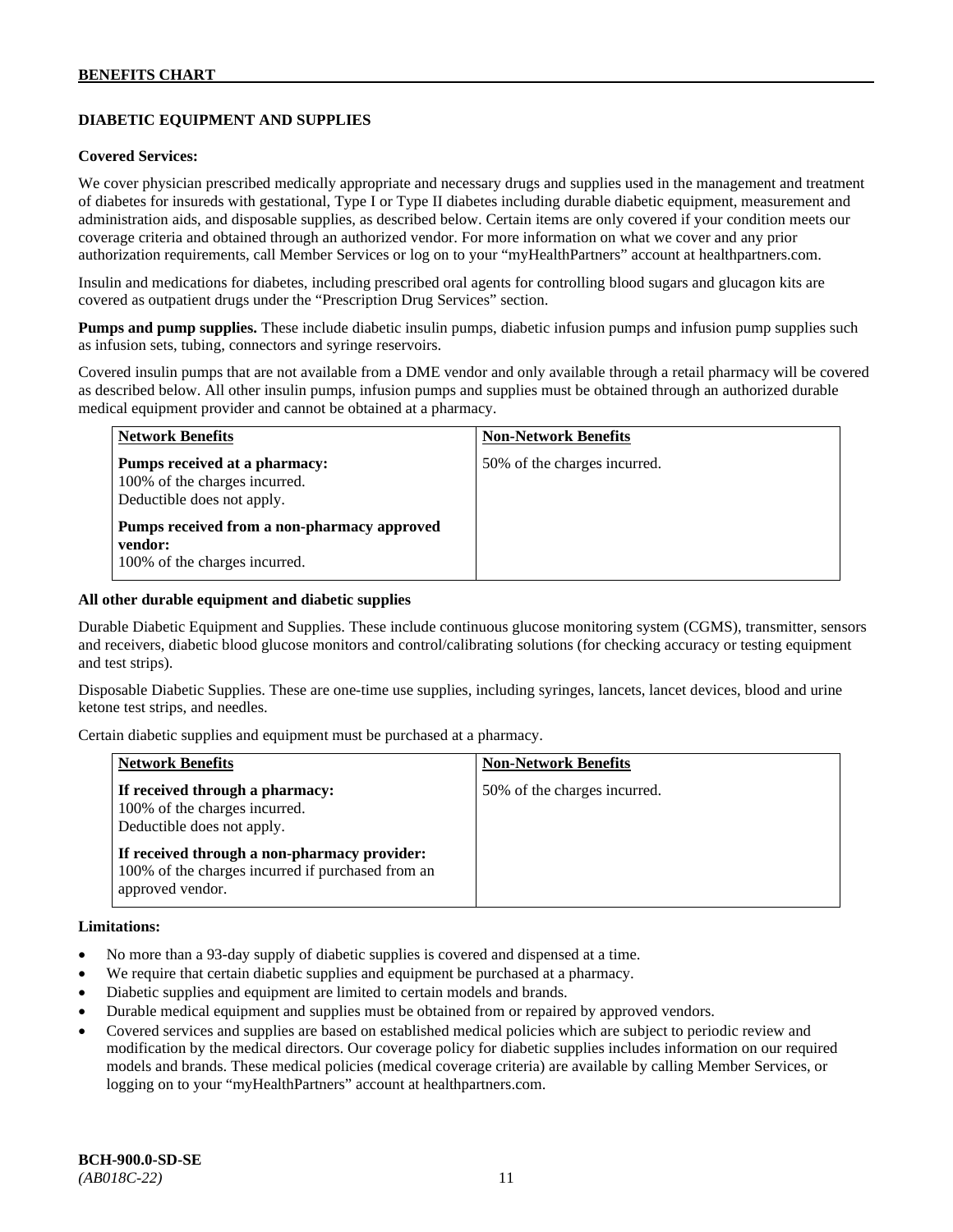# **DIABETIC EQUIPMENT AND SUPPLIES**

### **Covered Services:**

We cover physician prescribed medically appropriate and necessary drugs and supplies used in the management and treatment of diabetes for insureds with gestational, Type I or Type II diabetes including durable diabetic equipment, measurement and administration aids, and disposable supplies, as described below. Certain items are only covered if your condition meets our coverage criteria and obtained through an authorized vendor. For more information on what we cover and any prior authorization requirements, call Member Services or log on to your "myHealthPartners" account at [healthpartners.com.](http://www.healthpartners.com/)

Insulin and medications for diabetes, including prescribed oral agents for controlling blood sugars and glucagon kits are covered as outpatient drugs under the "Prescription Drug Services" section.

**Pumps and pump supplies.** These include diabetic insulin pumps, diabetic infusion pumps and infusion pump supplies such as infusion sets, tubing, connectors and syringe reservoirs.

Covered insulin pumps that are not available from a DME vendor and only available through a retail pharmacy will be covered as described below. All other insulin pumps, infusion pumps and supplies must be obtained through an authorized durable medical equipment provider and cannot be obtained at a pharmacy.

| <b>Network Benefits</b>                                                                      | <b>Non-Network Benefits</b>  |
|----------------------------------------------------------------------------------------------|------------------------------|
| Pumps received at a pharmacy:<br>100% of the charges incurred.<br>Deductible does not apply. | 50% of the charges incurred. |
| Pumps received from a non-pharmacy approved<br>vendor:<br>100% of the charges incurred.      |                              |

### **All other durable equipment and diabetic supplies**

Durable Diabetic Equipment and Supplies. These include continuous glucose monitoring system (CGMS), transmitter, sensors and receivers, diabetic blood glucose monitors and control/calibrating solutions (for checking accuracy or testing equipment and test strips).

Disposable Diabetic Supplies. These are one-time use supplies, including syringes, lancets, lancet devices, blood and urine ketone test strips, and needles.

Certain diabetic supplies and equipment must be purchased at a pharmacy.

| <b>Network Benefits</b>                                                                                               | <b>Non-Network Benefits</b>  |
|-----------------------------------------------------------------------------------------------------------------------|------------------------------|
| If received through a pharmacy:<br>100% of the charges incurred.<br>Deductible does not apply.                        | 50% of the charges incurred. |
| If received through a non-pharmacy provider:<br>100% of the charges incurred if purchased from an<br>approved vendor. |                              |

#### **Limitations:**

- No more than a 93-day supply of diabetic supplies is covered and dispensed at a time.
- We require that certain diabetic supplies and equipment be purchased at a pharmacy.
- Diabetic supplies and equipment are limited to certain models and brands.
- Durable medical equipment and supplies must be obtained from or repaired by approved vendors.
- Covered services and supplies are based on established medical policies which are subject to periodic review and modification by the medical directors. Our coverage policy for diabetic supplies includes information on our required models and brands. These medical policies (medical coverage criteria) are available by calling Member Services, or logging on to your "myHealthPartners" account at [healthpartners.com.](http://www.healthpartners.com/)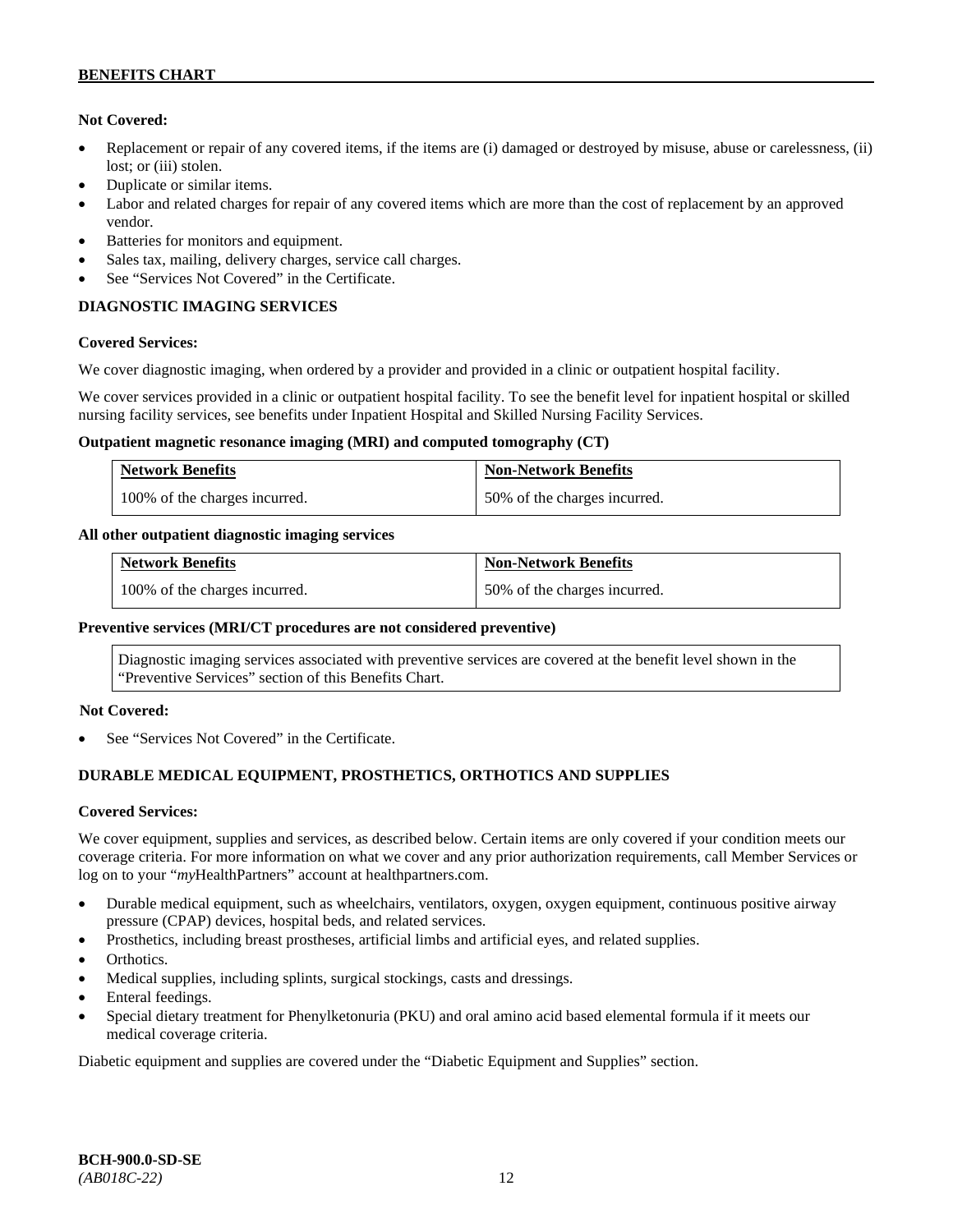# **Not Covered:**

- Replacement or repair of any covered items, if the items are (i) damaged or destroyed by misuse, abuse or carelessness, (ii) lost; or (iii) stolen.
- Duplicate or similar items.
- Labor and related charges for repair of any covered items which are more than the cost of replacement by an approved vendor.
- Batteries for monitors and equipment.
- Sales tax, mailing, delivery charges, service call charges.
- See "Services Not Covered" in the Certificate.

# **DIAGNOSTIC IMAGING SERVICES**

# **Covered Services:**

We cover diagnostic imaging, when ordered by a provider and provided in a clinic or outpatient hospital facility.

We cover services provided in a clinic or outpatient hospital facility. To see the benefit level for inpatient hospital or skilled nursing facility services, see benefits under Inpatient Hospital and Skilled Nursing Facility Services.

### **Outpatient magnetic resonance imaging (MRI) and computed tomography (CT)**

| <b>Network Benefits</b>       | <b>Non-Network Benefits</b>  |
|-------------------------------|------------------------------|
| 100% of the charges incurred. | 50% of the charges incurred. |

# **All other outpatient diagnostic imaging services**

| <b>Network Benefits</b>       | <b>Non-Network Benefits</b>  |
|-------------------------------|------------------------------|
| 100% of the charges incurred. | 50% of the charges incurred. |

# **Preventive services (MRI/CT procedures are not considered preventive)**

Diagnostic imaging services associated with preventive services are covered at the benefit level shown in the "Preventive Services" section of this Benefits Chart.

# **Not Covered:**

See "Services Not Covered" in the Certificate.

# **DURABLE MEDICAL EQUIPMENT, PROSTHETICS, ORTHOTICS AND SUPPLIES**

# **Covered Services:**

We cover equipment, supplies and services, as described below. Certain items are only covered if your condition meets our coverage criteria. For more information on what we cover and any prior authorization requirements, call Member Services or log on to your "*my*HealthPartners" account at [healthpartners.com.](http://healthpartners.com/)

- Durable medical equipment, such as wheelchairs, ventilators, oxygen, oxygen equipment, continuous positive airway pressure (CPAP) devices, hospital beds, and related services.
- Prosthetics, including breast prostheses, artificial limbs and artificial eyes, and related supplies.
- Orthotics.
- Medical supplies, including splints, surgical stockings, casts and dressings.
- Enteral feedings.
- Special dietary treatment for Phenylketonuria (PKU) and oral amino acid based elemental formula if it meets our medical coverage criteria.

Diabetic equipment and supplies are covered under the "Diabetic Equipment and Supplies" section.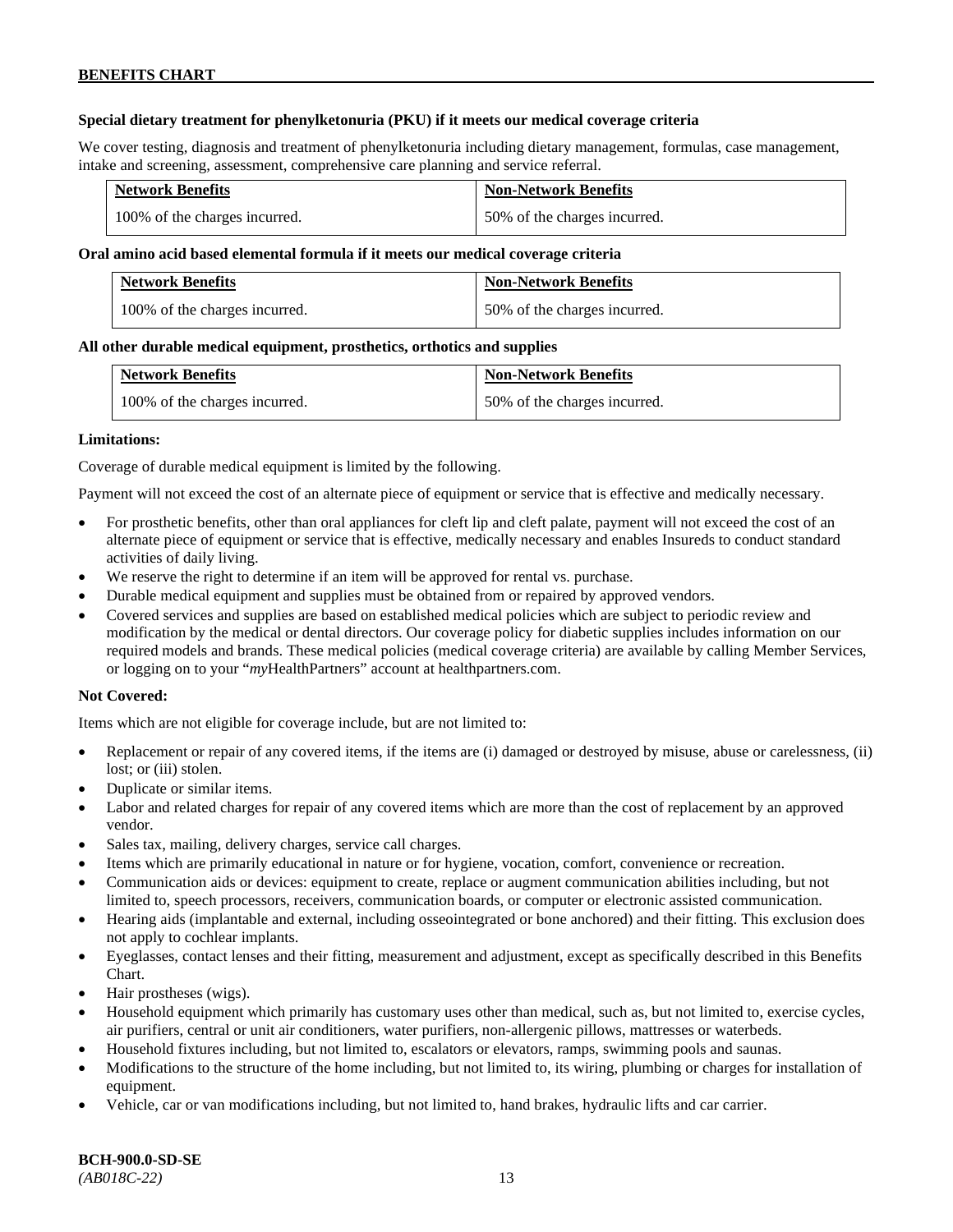# **Special dietary treatment for phenylketonuria (PKU) if it meets our medical coverage criteria**

We cover testing, diagnosis and treatment of phenylketonuria including dietary management, formulas, case management, intake and screening, assessment, comprehensive care planning and service referral.

| <b>Network Benefits</b>       | <b>Non-Network Benefits</b>  |
|-------------------------------|------------------------------|
| 100% of the charges incurred. | 50% of the charges incurred. |

### **Oral amino acid based elemental formula if it meets our medical coverage criteria**

| <b>Network Benefits</b>       | <b>Non-Network Benefits</b>  |
|-------------------------------|------------------------------|
| 100% of the charges incurred. | 50% of the charges incurred. |

### **All other durable medical equipment, prosthetics, orthotics and supplies**

| <b>Network Benefits</b>       | <b>Non-Network Benefits</b>  |
|-------------------------------|------------------------------|
| 100% of the charges incurred. | 50% of the charges incurred. |

### **Limitations:**

Coverage of durable medical equipment is limited by the following.

Payment will not exceed the cost of an alternate piece of equipment or service that is effective and medically necessary.

- For prosthetic benefits, other than oral appliances for cleft lip and cleft palate, payment will not exceed the cost of an alternate piece of equipment or service that is effective, medically necessary and enables Insureds to conduct standard activities of daily living.
- We reserve the right to determine if an item will be approved for rental vs. purchase.
- Durable medical equipment and supplies must be obtained from or repaired by approved vendors.
- Covered services and supplies are based on established medical policies which are subject to periodic review and modification by the medical or dental directors. Our coverage policy for diabetic supplies includes information on our required models and brands. These medical policies (medical coverage criteria) are available by calling Member Services, or logging on to your "*my*HealthPartners" account at [healthpartners.com.](http://www.healthpartners.com/)

# **Not Covered:**

Items which are not eligible for coverage include, but are not limited to:

- Replacement or repair of any covered items, if the items are (i) damaged or destroyed by misuse, abuse or carelessness, (ii) lost; or (iii) stolen.
- Duplicate or similar items.
- Labor and related charges for repair of any covered items which are more than the cost of replacement by an approved vendor.
- Sales tax, mailing, delivery charges, service call charges.
- Items which are primarily educational in nature or for hygiene, vocation, comfort, convenience or recreation.
- Communication aids or devices: equipment to create, replace or augment communication abilities including, but not limited to, speech processors, receivers, communication boards, or computer or electronic assisted communication.
- Hearing aids (implantable and external, including osseointegrated or bone anchored) and their fitting. This exclusion does not apply to cochlear implants.
- Eyeglasses, contact lenses and their fitting, measurement and adjustment, except as specifically described in this Benefits Chart.
- Hair prostheses (wigs).
- Household equipment which primarily has customary uses other than medical, such as, but not limited to, exercise cycles, air purifiers, central or unit air conditioners, water purifiers, non-allergenic pillows, mattresses or waterbeds.
- Household fixtures including, but not limited to, escalators or elevators, ramps, swimming pools and saunas.
- Modifications to the structure of the home including, but not limited to, its wiring, plumbing or charges for installation of equipment.
- Vehicle, car or van modifications including, but not limited to, hand brakes, hydraulic lifts and car carrier.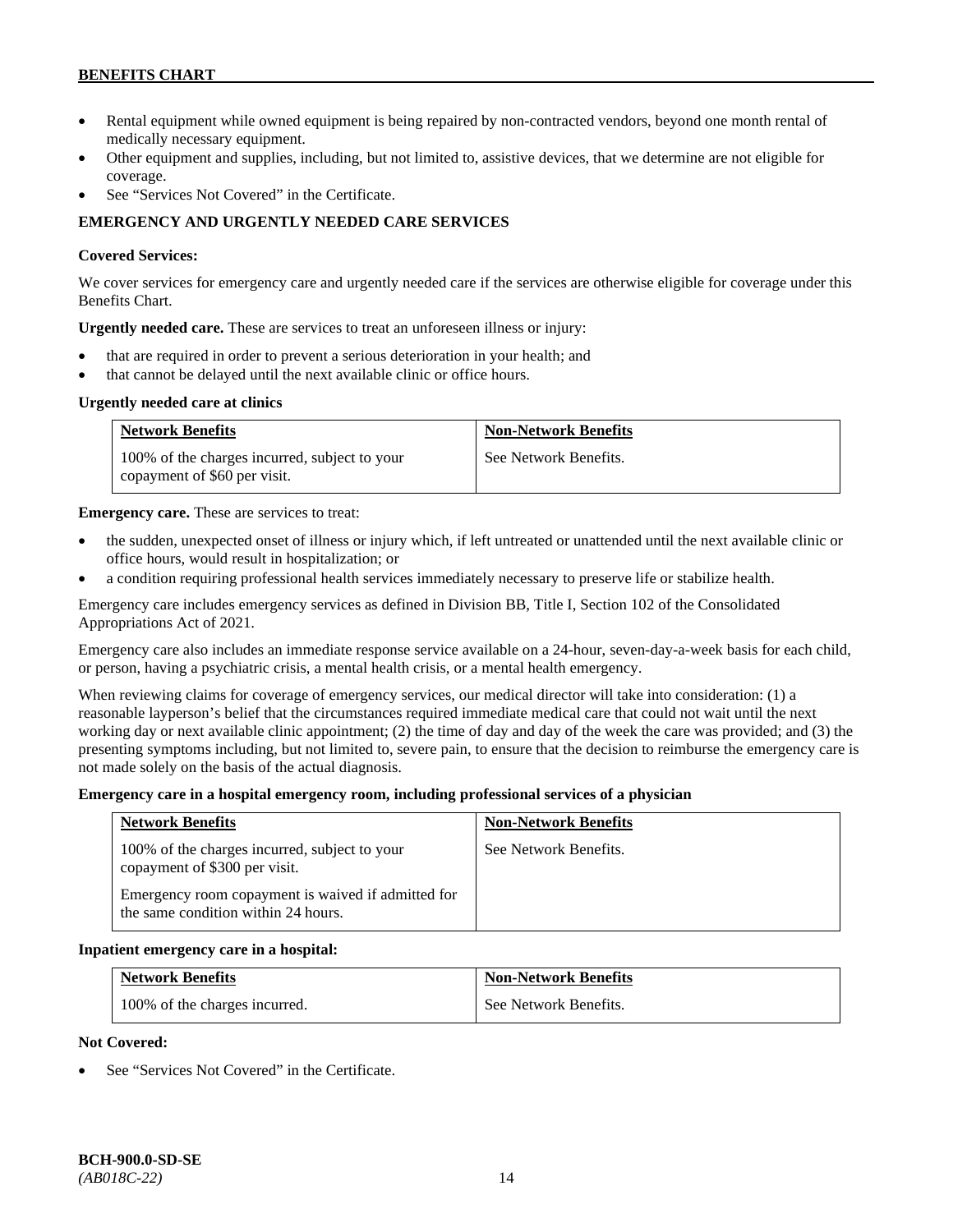- Rental equipment while owned equipment is being repaired by non-contracted vendors, beyond one month rental of medically necessary equipment.
- Other equipment and supplies, including, but not limited to, assistive devices, that we determine are not eligible for coverage.
- See "Services Not Covered" in the Certificate.

# **EMERGENCY AND URGENTLY NEEDED CARE SERVICES**

# **Covered Services:**

We cover services for emergency care and urgently needed care if the services are otherwise eligible for coverage under this Benefits Chart.

**Urgently needed care.** These are services to treat an unforeseen illness or injury:

- that are required in order to prevent a serious deterioration in your health; and
- that cannot be delayed until the next available clinic or office hours.

# **Urgently needed care at clinics**

| <b>Network Benefits</b>                                                       | <b>Non-Network Benefits</b> |
|-------------------------------------------------------------------------------|-----------------------------|
| 100% of the charges incurred, subject to your<br>copayment of \$60 per visit. | See Network Benefits.       |

**Emergency care.** These are services to treat:

- the sudden, unexpected onset of illness or injury which, if left untreated or unattended until the next available clinic or office hours, would result in hospitalization; or
- a condition requiring professional health services immediately necessary to preserve life or stabilize health.

Emergency care includes emergency services as defined in Division BB, Title I, Section 102 of the Consolidated Appropriations Act of 2021.

Emergency care also includes an immediate response service available on a 24-hour, seven-day-a-week basis for each child, or person, having a psychiatric crisis, a mental health crisis, or a mental health emergency.

When reviewing claims for coverage of emergency services, our medical director will take into consideration: (1) a reasonable layperson's belief that the circumstances required immediate medical care that could not wait until the next working day or next available clinic appointment; (2) the time of day and day of the week the care was provided; and (3) the presenting symptoms including, but not limited to, severe pain, to ensure that the decision to reimburse the emergency care is not made solely on the basis of the actual diagnosis.

#### **Emergency care in a hospital emergency room, including professional services of a physician**

| <b>Network Benefits</b>                                                                   | <b>Non-Network Benefits</b> |
|-------------------------------------------------------------------------------------------|-----------------------------|
| 100% of the charges incurred, subject to your<br>copayment of \$300 per visit.            | See Network Benefits.       |
| Emergency room copayment is waived if admitted for<br>the same condition within 24 hours. |                             |

#### **Inpatient emergency care in a hospital:**

| <b>Network Benefits</b>       | <b>Non-Network Benefits</b> |
|-------------------------------|-----------------------------|
| 100% of the charges incurred. | See Network Benefits.       |

#### **Not Covered:**

See "Services Not Covered" in the Certificate.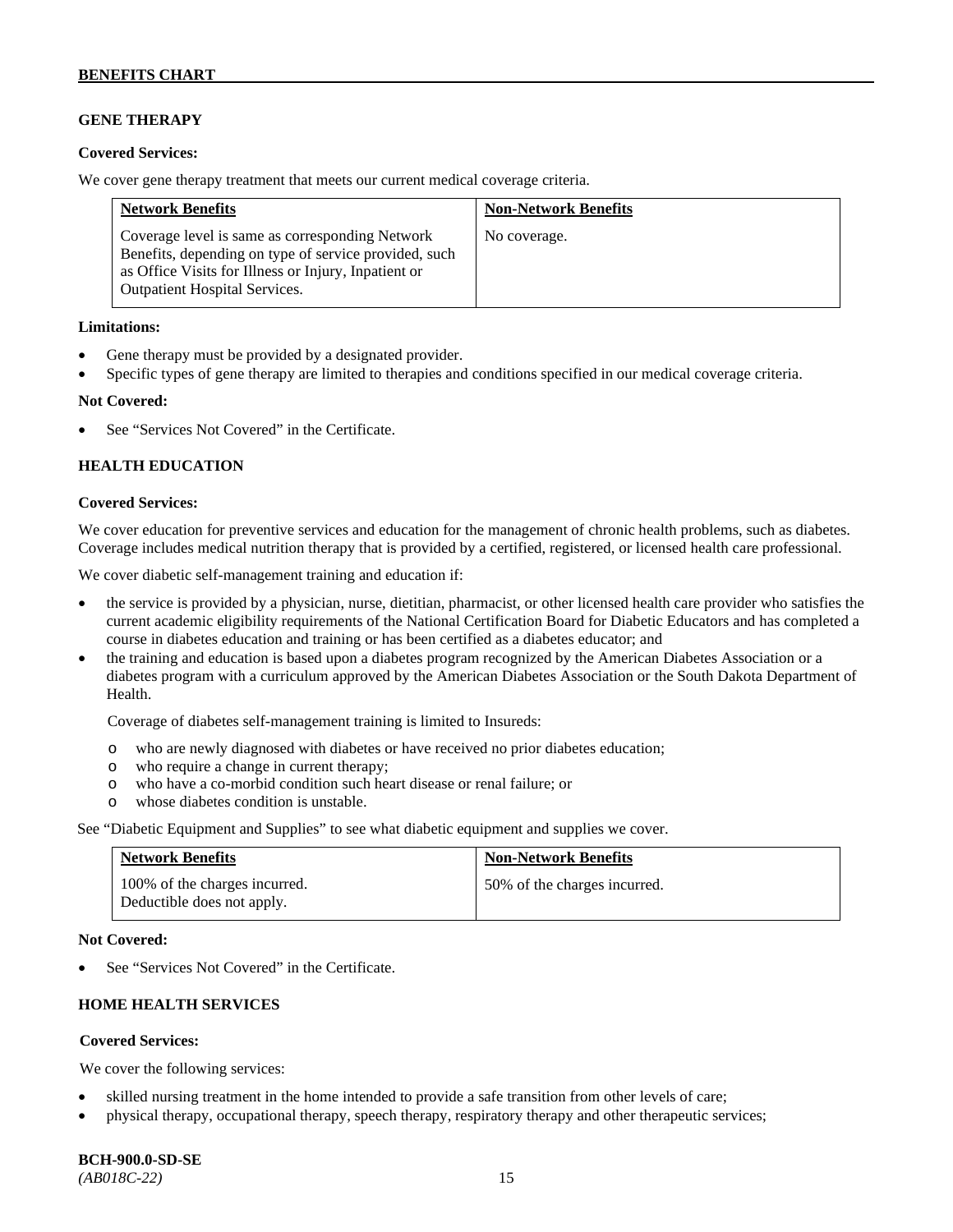# **GENE THERAPY**

### **Covered Services:**

We cover gene therapy treatment that meets our current medical coverage criteria.

| <b>Network Benefits</b>                                                                                                                                                                                  | <b>Non-Network Benefits</b> |
|----------------------------------------------------------------------------------------------------------------------------------------------------------------------------------------------------------|-----------------------------|
| Coverage level is same as corresponding Network<br>Benefits, depending on type of service provided, such<br>as Office Visits for Illness or Injury, Inpatient or<br><b>Outpatient Hospital Services.</b> | No coverage.                |

### **Limitations:**

- Gene therapy must be provided by a designated provider.
- Specific types of gene therapy are limited to therapies and conditions specified in our medical coverage criteria.

### **Not Covered:**

See "Services Not Covered" in the Certificate.

# **HEALTH EDUCATION**

### **Covered Services:**

We cover education for preventive services and education for the management of chronic health problems, such as diabetes. Coverage includes medical nutrition therapy that is provided by a certified, registered, or licensed health care professional.

We cover diabetic self-management training and education if:

- the service is provided by a physician, nurse, dietitian, pharmacist, or other licensed health care provider who satisfies the current academic eligibility requirements of the National Certification Board for Diabetic Educators and has completed a course in diabetes education and training or has been certified as a diabetes educator; and
- the training and education is based upon a diabetes program recognized by the American Diabetes Association or a diabetes program with a curriculum approved by the American Diabetes Association or the South Dakota Department of Health.

Coverage of diabetes self-management training is limited to Insureds:

- o who are newly diagnosed with diabetes or have received no prior diabetes education;
- o who require a change in current therapy;<br>o who have a co-morbid condition such heal
- who have a co-morbid condition such heart disease or renal failure; or
- o whose diabetes condition is unstable.

See "Diabetic Equipment and Supplies" to see what diabetic equipment and supplies we cover.

| <b>Network Benefits</b>                                     | <b>Non-Network Benefits</b>  |
|-------------------------------------------------------------|------------------------------|
| 100% of the charges incurred.<br>Deductible does not apply. | 50% of the charges incurred. |

#### **Not Covered:**

See "Services Not Covered" in the Certificate.

# **HOME HEALTH SERVICES**

# **Covered Services:**

We cover the following services:

- skilled nursing treatment in the home intended to provide a safe transition from other levels of care;
- physical therapy, occupational therapy, speech therapy, respiratory therapy and other therapeutic services;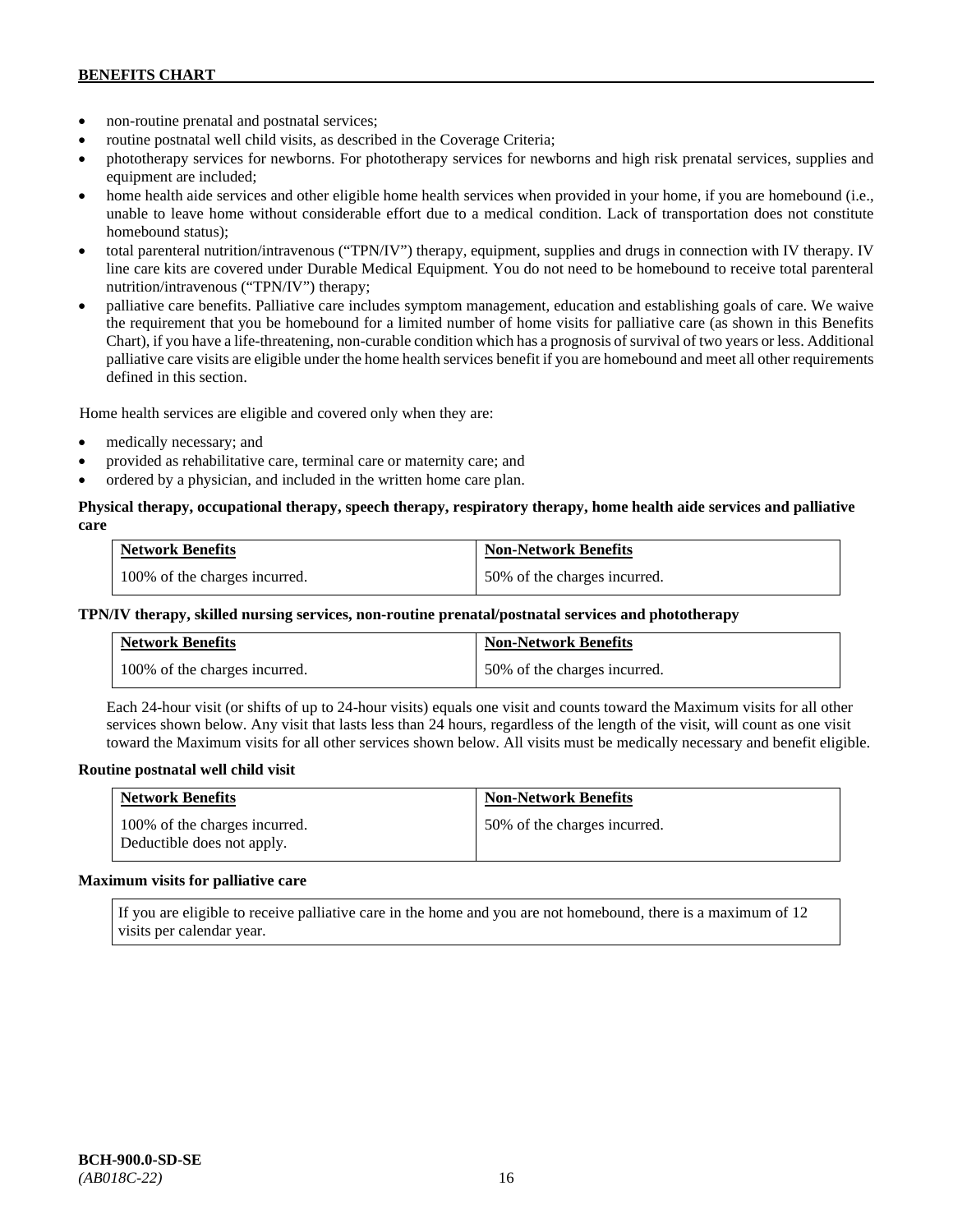- non-routine prenatal and postnatal services;
- routine postnatal well child visits, as described in the Coverage Criteria;
- phototherapy services for newborns. For phototherapy services for newborns and high risk prenatal services, supplies and equipment are included;
- home health aide services and other eligible home health services when provided in your home, if you are homebound (i.e., unable to leave home without considerable effort due to a medical condition. Lack of transportation does not constitute homebound status);
- total parenteral nutrition/intravenous ("TPN/IV") therapy, equipment, supplies and drugs in connection with IV therapy. IV line care kits are covered under Durable Medical Equipment. You do not need to be homebound to receive total parenteral nutrition/intravenous ("TPN/IV") therapy;
- palliative care benefits. Palliative care includes symptom management, education and establishing goals of care. We waive the requirement that you be homebound for a limited number of home visits for palliative care (as shown in this Benefits Chart), if you have a life-threatening, non-curable condition which has a prognosis of survival of two years or less. Additional palliative care visits are eligible under the home health services benefit if you are homebound and meet all other requirements defined in this section.

Home health services are eligible and covered only when they are:

- medically necessary; and
- provided as rehabilitative care, terminal care or maternity care; and
- ordered by a physician, and included in the written home care plan.

# **Physical therapy, occupational therapy, speech therapy, respiratory therapy, home health aide services and palliative care**

| <b>Network Benefits</b>       | <b>Non-Network Benefits</b>  |
|-------------------------------|------------------------------|
| 100% of the charges incurred. | 50% of the charges incurred. |

# **TPN/IV therapy, skilled nursing services, non-routine prenatal/postnatal services and phototherapy**

| Network Benefits              | <b>Non-Network Benefits</b>  |
|-------------------------------|------------------------------|
| 100% of the charges incurred. | 50% of the charges incurred. |

Each 24-hour visit (or shifts of up to 24-hour visits) equals one visit and counts toward the Maximum visits for all other services shown below. Any visit that lasts less than 24 hours, regardless of the length of the visit, will count as one visit toward the Maximum visits for all other services shown below. All visits must be medically necessary and benefit eligible.

# **Routine postnatal well child visit**

| <b>Network Benefits</b>                                     | <b>Non-Network Benefits</b>  |
|-------------------------------------------------------------|------------------------------|
| 100% of the charges incurred.<br>Deductible does not apply. | 50% of the charges incurred. |

#### **Maximum visits for palliative care**

If you are eligible to receive palliative care in the home and you are not homebound, there is a maximum of 12 visits per calendar year.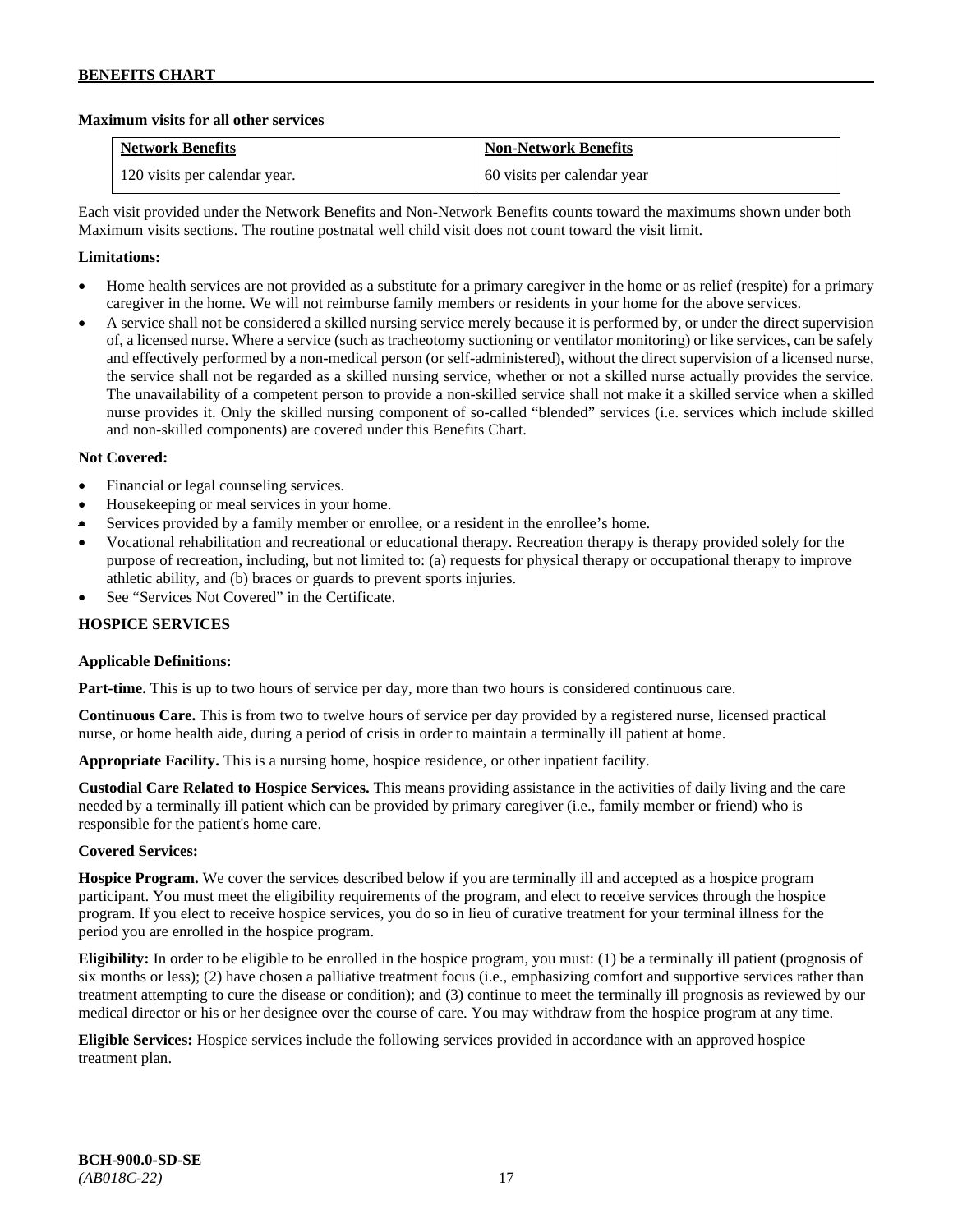# **Maximum visits for all other services**

| <b>Network Benefits</b>       | <b>Non-Network Benefits</b> |
|-------------------------------|-----------------------------|
| 120 visits per calendar year. | 60 visits per calendar year |

Each visit provided under the Network Benefits and Non-Network Benefits counts toward the maximums shown under both Maximum visits sections. The routine postnatal well child visit does not count toward the visit limit.

# **Limitations:**

- Home health services are not provided as a substitute for a primary caregiver in the home or as relief (respite) for a primary caregiver in the home. We will not reimburse family members or residents in your home for the above services.
- A service shall not be considered a skilled nursing service merely because it is performed by, or under the direct supervision of, a licensed nurse. Where a service (such as tracheotomy suctioning or ventilator monitoring) or like services, can be safely and effectively performed by a non-medical person (or self-administered), without the direct supervision of a licensed nurse, the service shall not be regarded as a skilled nursing service, whether or not a skilled nurse actually provides the service. The unavailability of a competent person to provide a non-skilled service shall not make it a skilled service when a skilled nurse provides it. Only the skilled nursing component of so-called "blended" services (i.e. services which include skilled and non-skilled components) are covered under this Benefits Chart.

# **Not Covered:**

- Financial or legal counseling services.
- Housekeeping or meal services in your home.
- Services provided by a family member or enrollee, or a resident in the enrollee's home.
- Vocational rehabilitation and recreational or educational therapy. Recreation therapy is therapy provided solely for the purpose of recreation, including, but not limited to: (a) requests for physical therapy or occupational therapy to improve athletic ability, and (b) braces or guards to prevent sports injuries.
- See "Services Not Covered" in the Certificate.

# **HOSPICE SERVICES**

# **Applicable Definitions:**

**Part-time.** This is up to two hours of service per day, more than two hours is considered continuous care.

**Continuous Care.** This is from two to twelve hours of service per day provided by a registered nurse, licensed practical nurse, or home health aide, during a period of crisis in order to maintain a terminally ill patient at home.

**Appropriate Facility.** This is a nursing home, hospice residence, or other inpatient facility.

**Custodial Care Related to Hospice Services.** This means providing assistance in the activities of daily living and the care needed by a terminally ill patient which can be provided by primary caregiver (i.e., family member or friend) who is responsible for the patient's home care.

# **Covered Services:**

**Hospice Program.** We cover the services described below if you are terminally ill and accepted as a hospice program participant. You must meet the eligibility requirements of the program, and elect to receive services through the hospice program. If you elect to receive hospice services, you do so in lieu of curative treatment for your terminal illness for the period you are enrolled in the hospice program.

**Eligibility:** In order to be eligible to be enrolled in the hospice program, you must: (1) be a terminally ill patient (prognosis of six months or less); (2) have chosen a palliative treatment focus (i.e., emphasizing comfort and supportive services rather than treatment attempting to cure the disease or condition); and (3) continue to meet the terminally ill prognosis as reviewed by our medical director or his or her designee over the course of care. You may withdraw from the hospice program at any time.

**Eligible Services:** Hospice services include the following services provided in accordance with an approved hospice treatment plan.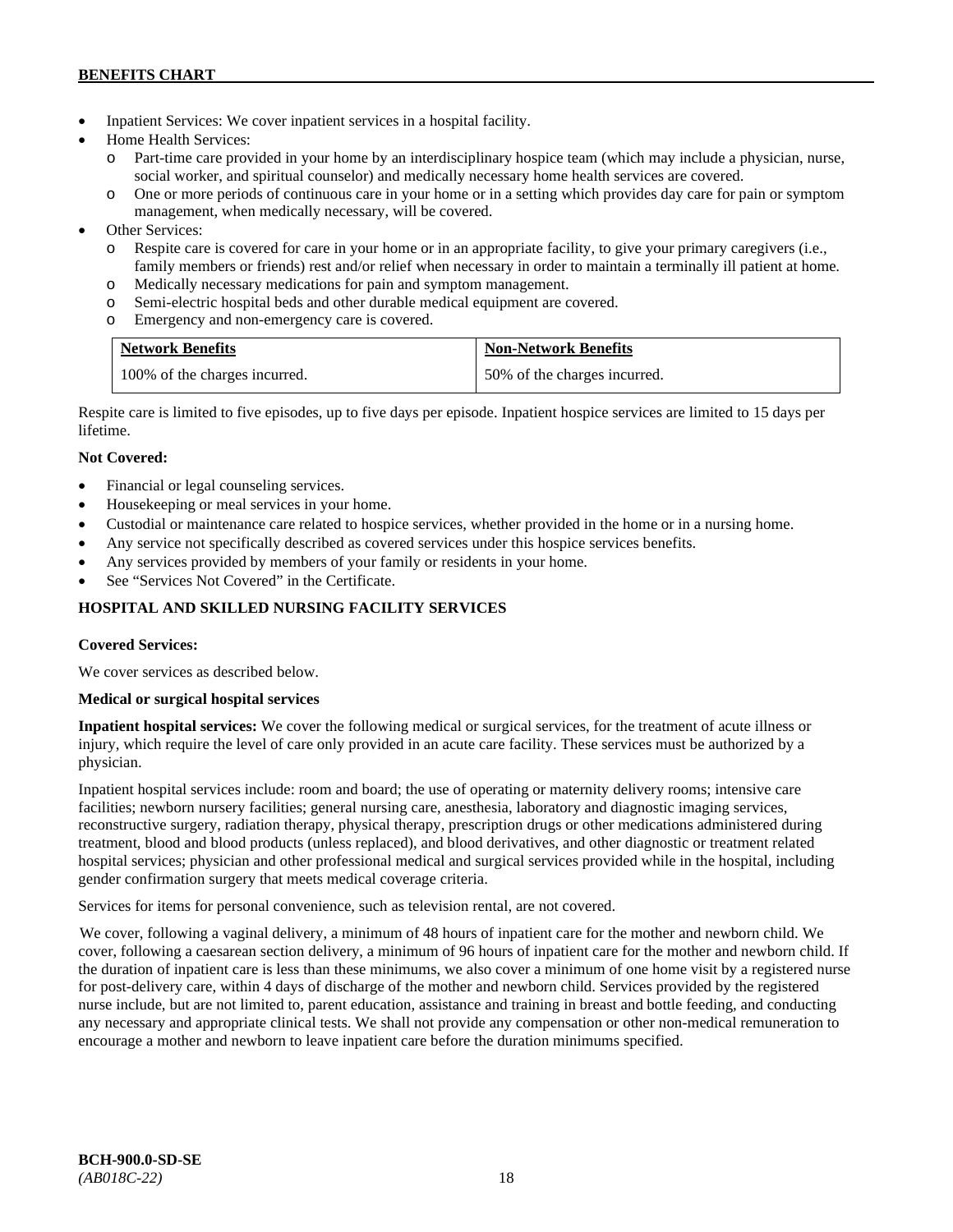- Inpatient Services: We cover inpatient services in a hospital facility.
- Home Health Services:
	- o Part-time care provided in your home by an interdisciplinary hospice team (which may include a physician, nurse, social worker, and spiritual counselor) and medically necessary home health services are covered.
	- o One or more periods of continuous care in your home or in a setting which provides day care for pain or symptom management, when medically necessary, will be covered.
- Other Services:
	- o Respite care is covered for care in your home or in an appropriate facility, to give your primary caregivers (i.e., family members or friends) rest and/or relief when necessary in order to maintain a terminally ill patient at home*.*
	- o Medically necessary medications for pain and symptom management.
	- o Semi-electric hospital beds and other durable medical equipment are covered.
	- o Emergency and non-emergency care is covered.

| <b>Network Benefits</b>       | <b>Non-Network Benefits</b>  |
|-------------------------------|------------------------------|
| 100% of the charges incurred. | 50% of the charges incurred. |

Respite care is limited to five episodes, up to five days per episode. Inpatient hospice services are limited to 15 days per lifetime.

# **Not Covered:**

- Financial or legal counseling services.
- Housekeeping or meal services in your home.
- Custodial or maintenance care related to hospice services, whether provided in the home or in a nursing home.
- Any service not specifically described as covered services under this hospice services benefits.
- Any services provided by members of your family or residents in your home.
- See "Services Not Covered" in the Certificate.

# **HOSPITAL AND SKILLED NURSING FACILITY SERVICES**

# **Covered Services:**

We cover services as described below.

# **Medical or surgical hospital services**

**Inpatient hospital services:** We cover the following medical or surgical services, for the treatment of acute illness or injury, which require the level of care only provided in an acute care facility. These services must be authorized by a physician.

Inpatient hospital services include: room and board; the use of operating or maternity delivery rooms; intensive care facilities; newborn nursery facilities; general nursing care, anesthesia, laboratory and diagnostic imaging services, reconstructive surgery, radiation therapy, physical therapy, prescription drugs or other medications administered during treatment, blood and blood products (unless replaced), and blood derivatives, and other diagnostic or treatment related hospital services; physician and other professional medical and surgical services provided while in the hospital, including gender confirmation surgery that meets medical coverage criteria.

Services for items for personal convenience, such as television rental, are not covered.

We cover, following a vaginal delivery, a minimum of 48 hours of inpatient care for the mother and newborn child. We cover, following a caesarean section delivery, a minimum of 96 hours of inpatient care for the mother and newborn child. If the duration of inpatient care is less than these minimums, we also cover a minimum of one home visit by a registered nurse for post-delivery care, within 4 days of discharge of the mother and newborn child. Services provided by the registered nurse include, but are not limited to, parent education, assistance and training in breast and bottle feeding, and conducting any necessary and appropriate clinical tests. We shall not provide any compensation or other non-medical remuneration to encourage a mother and newborn to leave inpatient care before the duration minimums specified.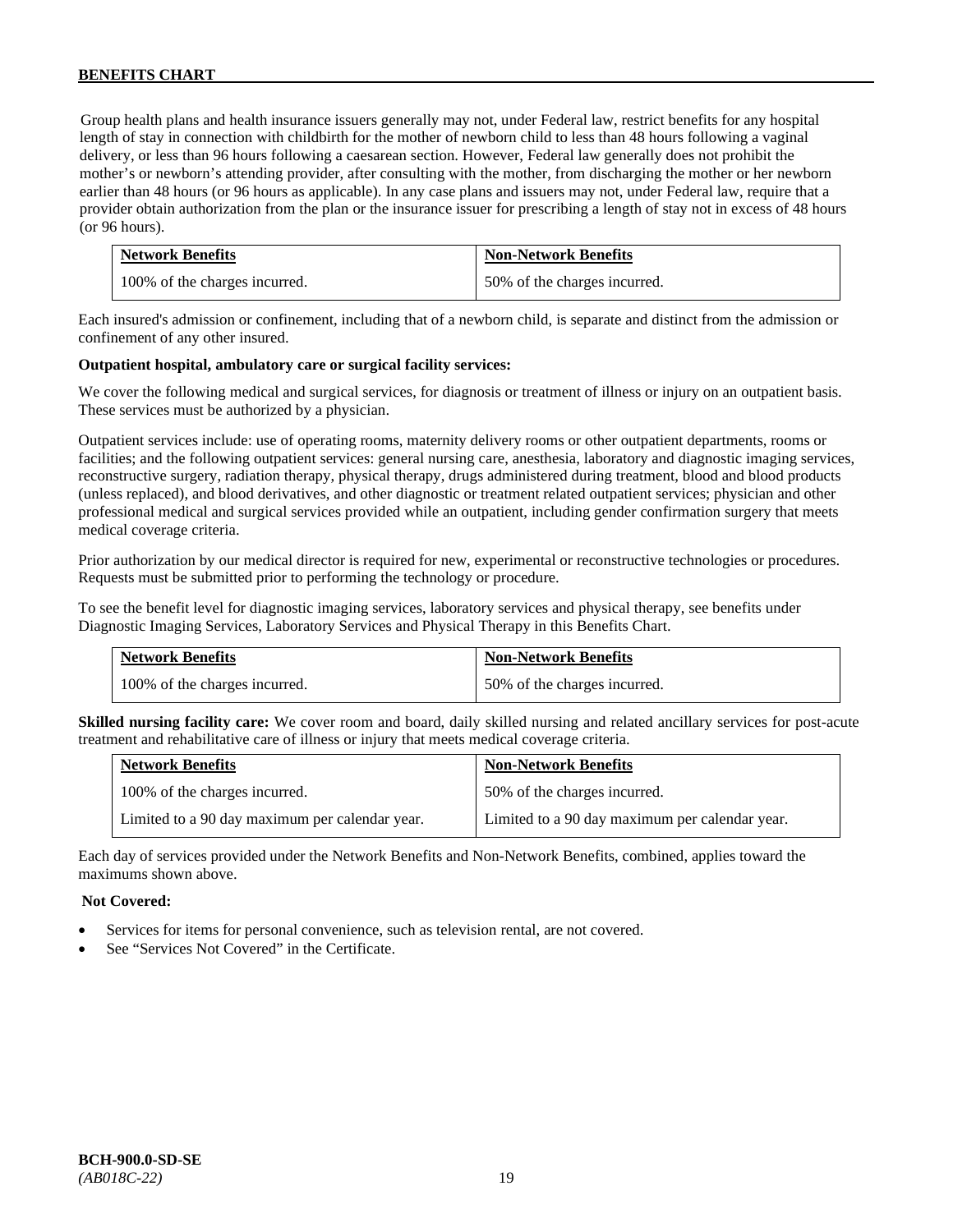Group health plans and health insurance issuers generally may not, under Federal law, restrict benefits for any hospital length of stay in connection with childbirth for the mother of newborn child to less than 48 hours following a vaginal delivery, or less than 96 hours following a caesarean section. However, Federal law generally does not prohibit the mother's or newborn's attending provider, after consulting with the mother, from discharging the mother or her newborn earlier than 48 hours (or 96 hours as applicable). In any case plans and issuers may not, under Federal law, require that a provider obtain authorization from the plan or the insurance issuer for prescribing a length of stay not in excess of 48 hours (or 96 hours).

| <b>Network Benefits</b>       | <b>Non-Network Benefits</b>  |
|-------------------------------|------------------------------|
| 100% of the charges incurred. | 50% of the charges incurred. |

Each insured's admission or confinement, including that of a newborn child, is separate and distinct from the admission or confinement of any other insured.

### **Outpatient hospital, ambulatory care or surgical facility services:**

We cover the following medical and surgical services, for diagnosis or treatment of illness or injury on an outpatient basis. These services must be authorized by a physician.

Outpatient services include: use of operating rooms, maternity delivery rooms or other outpatient departments, rooms or facilities; and the following outpatient services: general nursing care, anesthesia, laboratory and diagnostic imaging services, reconstructive surgery, radiation therapy, physical therapy, drugs administered during treatment, blood and blood products (unless replaced), and blood derivatives, and other diagnostic or treatment related outpatient services; physician and other professional medical and surgical services provided while an outpatient, including gender confirmation surgery that meets medical coverage criteria.

Prior authorization by our medical director is required for new, experimental or reconstructive technologies or procedures. Requests must be submitted prior to performing the technology or procedure.

To see the benefit level for diagnostic imaging services, laboratory services and physical therapy, see benefits under Diagnostic Imaging Services, Laboratory Services and Physical Therapy in this Benefits Chart.

| <b>Network Benefits</b>       | <b>Non-Network Benefits</b>  |
|-------------------------------|------------------------------|
| 100% of the charges incurred. | 50% of the charges incurred. |

**Skilled nursing facility care:** We cover room and board, daily skilled nursing and related ancillary services for post-acute treatment and rehabilitative care of illness or injury that meets medical coverage criteria.

| <b>Network Benefits</b>                        | <b>Non-Network Benefits</b>                    |
|------------------------------------------------|------------------------------------------------|
| 100% of the charges incurred.                  | 50% of the charges incurred.                   |
| Limited to a 90 day maximum per calendar year. | Limited to a 90 day maximum per calendar year. |

Each day of services provided under the Network Benefits and Non-Network Benefits, combined, applies toward the maximums shown above.

- Services for items for personal convenience, such as television rental, are not covered.
- See "Services Not Covered" in the Certificate.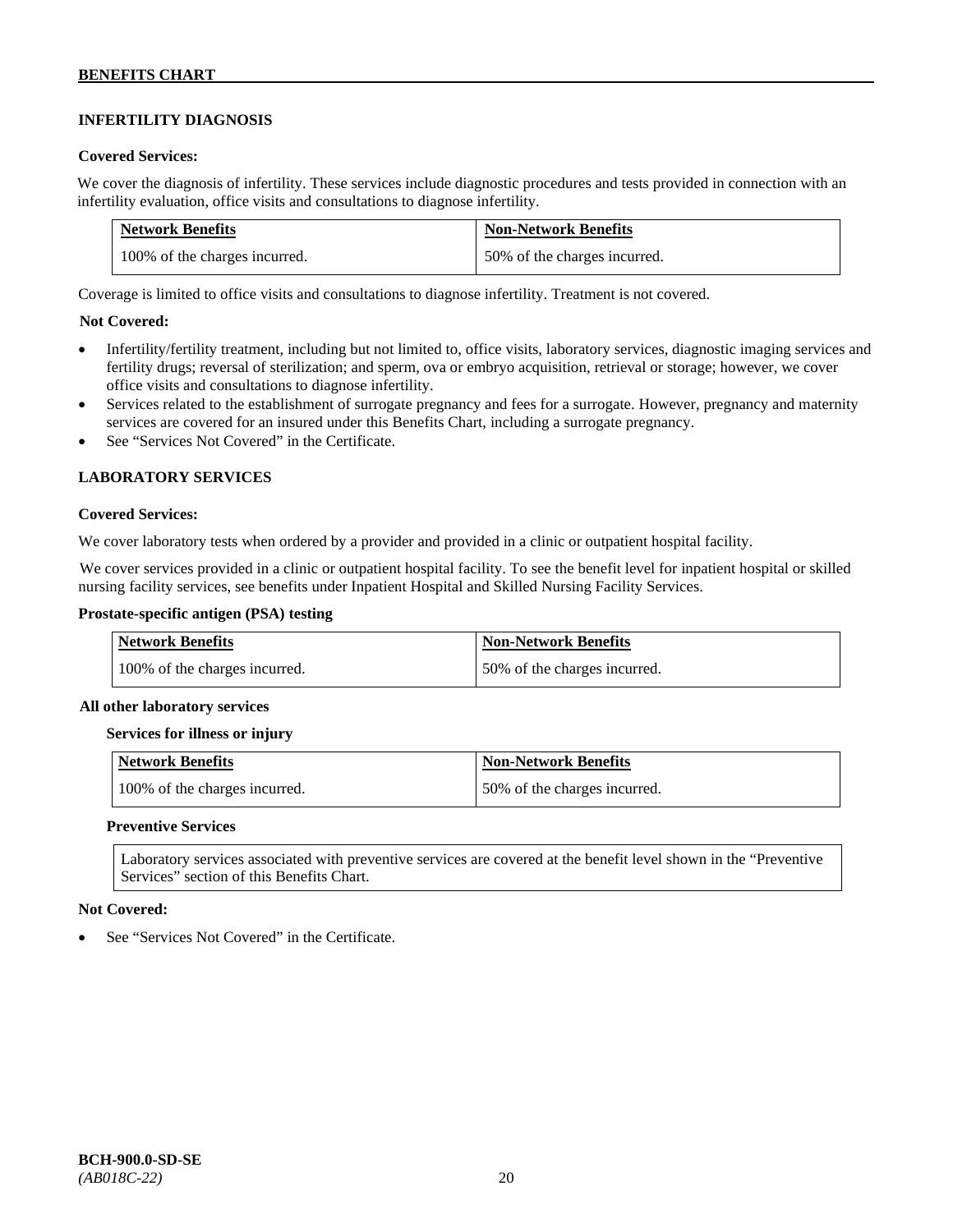# **INFERTILITY DIAGNOSIS**

### **Covered Services:**

We cover the diagnosis of infertility. These services include diagnostic procedures and tests provided in connection with an infertility evaluation, office visits and consultations to diagnose infertility.

| <b>Network Benefits</b>       | <b>Non-Network Benefits</b>  |
|-------------------------------|------------------------------|
| 100% of the charges incurred. | 50% of the charges incurred. |

Coverage is limited to office visits and consultations to diagnose infertility. Treatment is not covered.

# **Not Covered:**

- Infertility/fertility treatment, including but not limited to, office visits, laboratory services, diagnostic imaging services and fertility drugs; reversal of sterilization; and sperm, ova or embryo acquisition, retrieval or storage; however, we cover office visits and consultations to diagnose infertility.
- Services related to the establishment of surrogate pregnancy and fees for a surrogate. However, pregnancy and maternity services are covered for an insured under this Benefits Chart, including a surrogate pregnancy.
- See "Services Not Covered" in the Certificate.

# **LABORATORY SERVICES**

#### **Covered Services:**

We cover laboratory tests when ordered by a provider and provided in a clinic or outpatient hospital facility.

We cover services provided in a clinic or outpatient hospital facility. To see the benefit level for inpatient hospital or skilled nursing facility services, see benefits under Inpatient Hospital and Skilled Nursing Facility Services.

### **Prostate-specific antigen (PSA) testing**

| <b>Network Benefits</b>       | <b>Non-Network Benefits</b>  |
|-------------------------------|------------------------------|
| 100% of the charges incurred. | 50% of the charges incurred. |

#### **All other laboratory services**

#### **Services for illness or injury**

| Network Benefits              | <b>Non-Network Benefits</b>  |
|-------------------------------|------------------------------|
| 100% of the charges incurred. | 50% of the charges incurred. |

#### **Preventive Services**

Laboratory services associated with preventive services are covered at the benefit level shown in the "Preventive Services" section of this Benefits Chart.

#### **Not Covered:**

See "Services Not Covered" in the Certificate.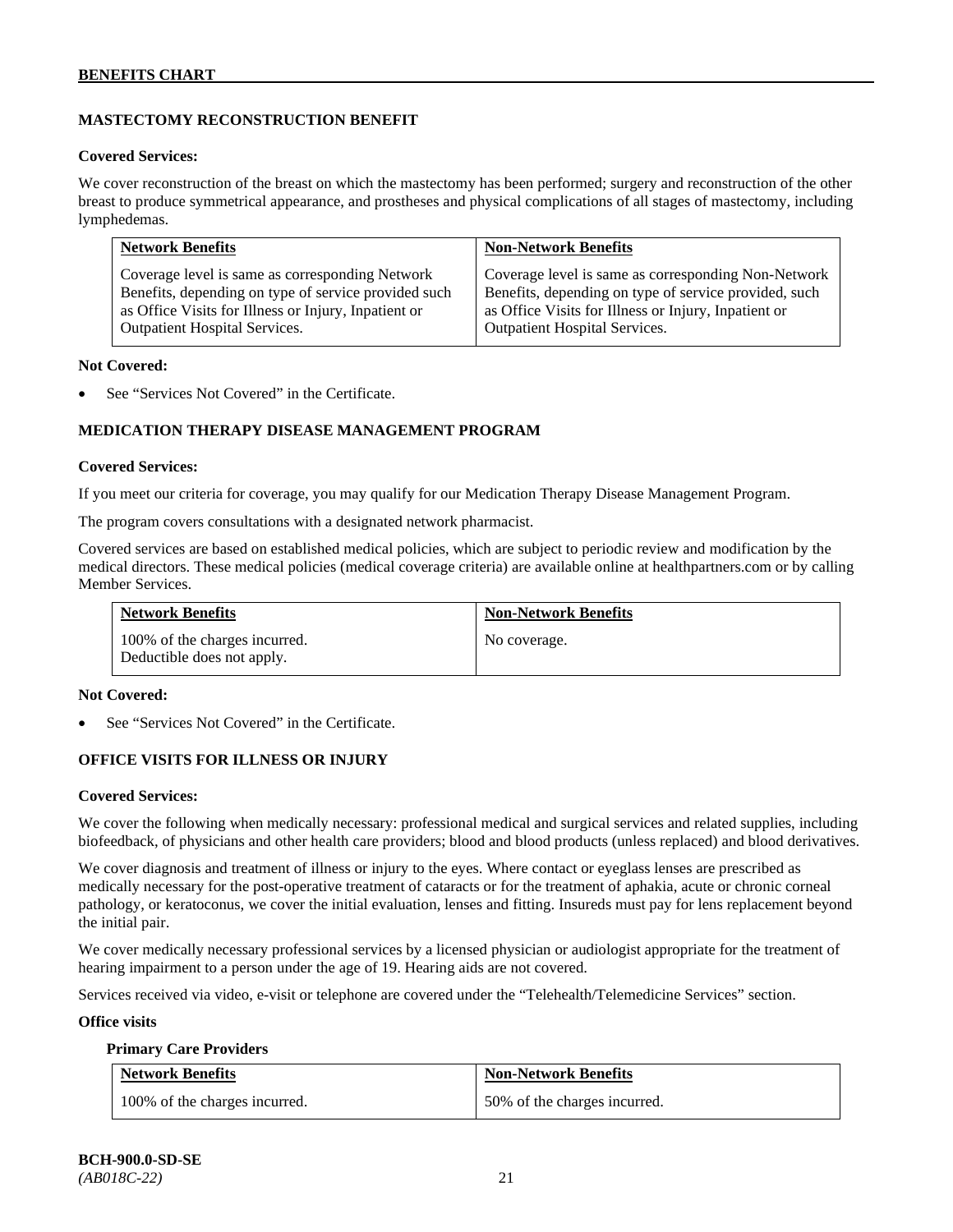# **MASTECTOMY RECONSTRUCTION BENEFIT**

#### **Covered Services:**

We cover reconstruction of the breast on which the mastectomy has been performed; surgery and reconstruction of the other breast to produce symmetrical appearance, and prostheses and physical complications of all stages of mastectomy, including lymphedemas.

| <b>Network Benefits</b>                              | <b>Non-Network Benefits</b>                           |
|------------------------------------------------------|-------------------------------------------------------|
| Coverage level is same as corresponding Network      | Coverage level is same as corresponding Non-Network   |
| Benefits, depending on type of service provided such | Benefits, depending on type of service provided, such |
| as Office Visits for Illness or Injury, Inpatient or | as Office Visits for Illness or Injury, Inpatient or  |
| Outpatient Hospital Services.                        | <b>Outpatient Hospital Services.</b>                  |

#### **Not Covered:**

See "Services Not Covered" in the Certificate.

# **MEDICATION THERAPY DISEASE MANAGEMENT PROGRAM**

### **Covered Services:**

If you meet our criteria for coverage, you may qualify for our Medication Therapy Disease Management Program.

The program covers consultations with a designated network pharmacist.

Covered services are based on established medical policies, which are subject to periodic review and modification by the medical directors. These medical policies (medical coverage criteria) are available online at [healthpartners.com](http://www.healthpartners.com/) or by calling Member Services.

| <b>Network Benefits</b>                                     | <b>Non-Network Benefits</b> |
|-------------------------------------------------------------|-----------------------------|
| 100% of the charges incurred.<br>Deductible does not apply. | No coverage.                |

#### **Not Covered:**

See "Services Not Covered" in the Certificate.

# **OFFICE VISITS FOR ILLNESS OR INJURY**

# **Covered Services:**

We cover the following when medically necessary: professional medical and surgical services and related supplies, including biofeedback, of physicians and other health care providers; blood and blood products (unless replaced) and blood derivatives.

We cover diagnosis and treatment of illness or injury to the eyes. Where contact or eyeglass lenses are prescribed as medically necessary for the post-operative treatment of cataracts or for the treatment of aphakia, acute or chronic corneal pathology, or keratoconus, we cover the initial evaluation, lenses and fitting. Insureds must pay for lens replacement beyond the initial pair.

We cover medically necessary professional services by a licensed physician or audiologist appropriate for the treatment of hearing impairment to a person under the age of 19. Hearing aids are not covered.

Services received via video, e-visit or telephone are covered under the "Telehealth/Telemedicine Services" section.

#### **Office visits**

#### **Primary Care Providers**

| <b>Network Benefits</b>       | <b>Non-Network Benefits</b>  |
|-------------------------------|------------------------------|
| 100% of the charges incurred. | 50% of the charges incurred. |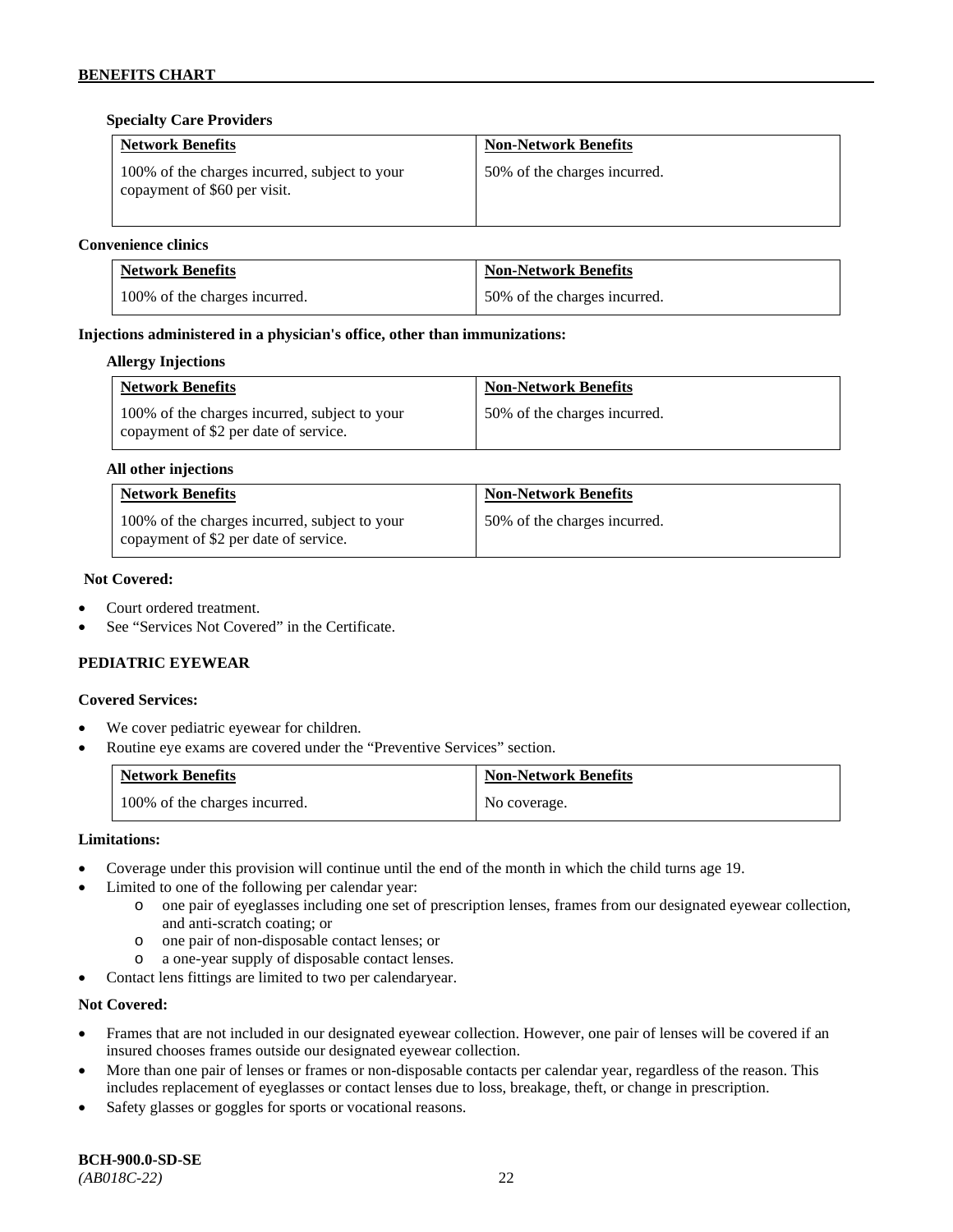# **Specialty Care Providers**

| <b>Network Benefits</b>                                                       | <b>Non-Network Benefits</b>  |
|-------------------------------------------------------------------------------|------------------------------|
| 100% of the charges incurred, subject to your<br>copayment of \$60 per visit. | 50% of the charges incurred. |

### **Convenience clinics**

| <b>Network Benefits</b>       | <b>Non-Network Benefits</b>  |
|-------------------------------|------------------------------|
| 100% of the charges incurred. | 50% of the charges incurred. |

### **Injections administered in a physician's office, other than immunizations:**

#### **Allergy Injections**

| <b>Network Benefits</b>                                                                | <b>Non-Network Benefits</b>  |
|----------------------------------------------------------------------------------------|------------------------------|
| 100% of the charges incurred, subject to your<br>copayment of \$2 per date of service. | 50% of the charges incurred. |

#### **All other injections**

| <b>Network Benefits</b>                                                                | <b>Non-Network Benefits</b>  |
|----------------------------------------------------------------------------------------|------------------------------|
| 100% of the charges incurred, subject to your<br>copayment of \$2 per date of service. | 50% of the charges incurred. |

#### **Not Covered:**

- Court ordered treatment.
- See "Services Not Covered" in the Certificate.

# **PEDIATRIC EYEWEAR**

#### **Covered Services:**

- We cover pediatric eyewear for children.
- Routine eye exams are covered under the "Preventive Services" section.

| <b>Network Benefits</b>       | <b>Non-Network Benefits</b> |
|-------------------------------|-----------------------------|
| 100% of the charges incurred. | No coverage.                |

#### **Limitations:**

- Coverage under this provision will continue until the end of the month in which the child turns age 19.
- Limited to one of the following per calendar year:
	- o one pair of eyeglasses including one set of prescription lenses, frames from our designated eyewear collection, and anti-scratch coating; or
	- o one pair of non-disposable contact lenses; or
	- o a one-year supply of disposable contact lenses.
- Contact lens fittings are limited to two per calendaryear.

- Frames that are not included in our designated eyewear collection. However, one pair of lenses will be covered if an insured chooses frames outside our designated eyewear collection.
- More than one pair of lenses or frames or non-disposable contacts per calendar year, regardless of the reason. This includes replacement of eyeglasses or contact lenses due to loss, breakage, theft, or change in prescription.
- Safety glasses or goggles for sports or vocational reasons.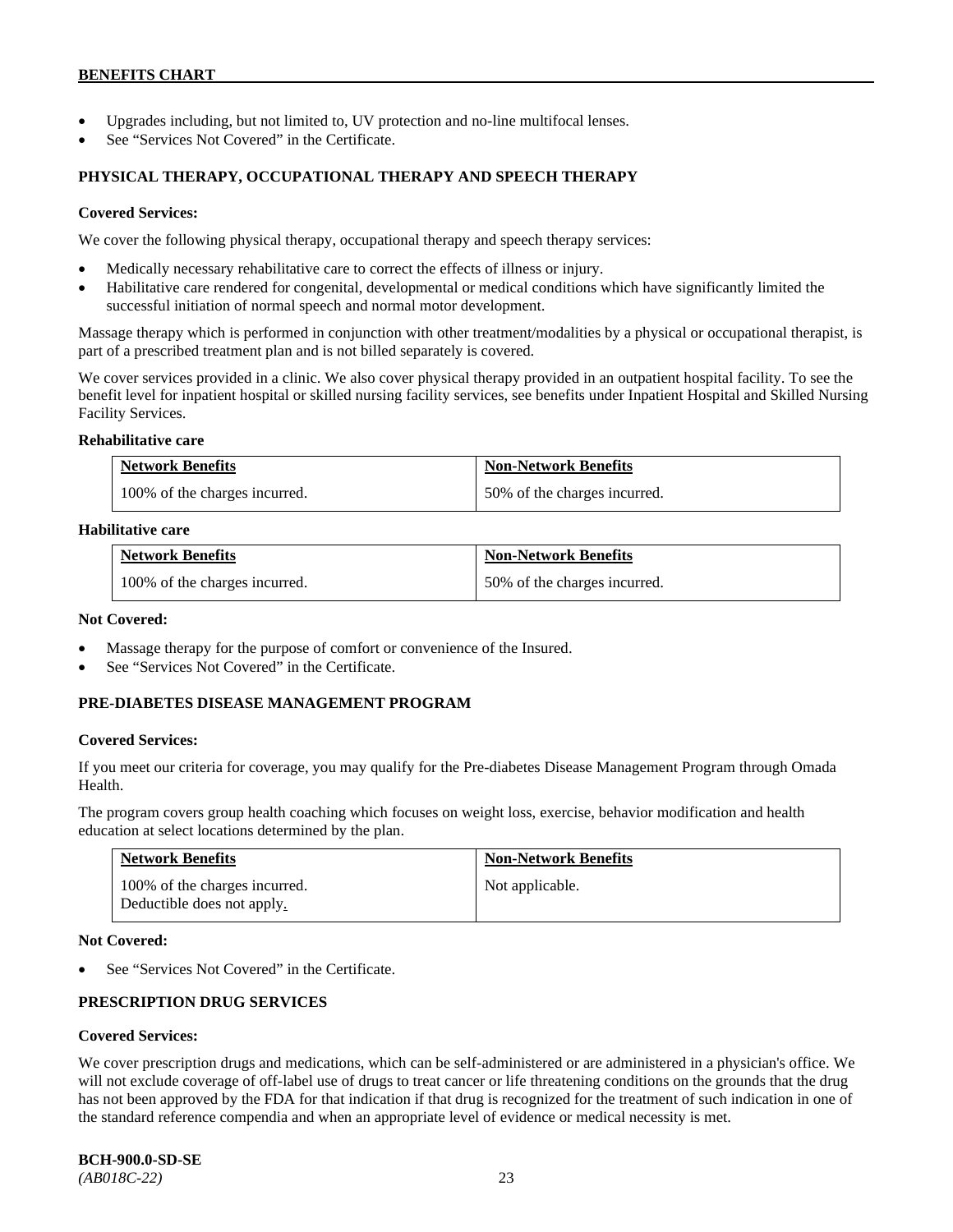- Upgrades including, but not limited to, UV protection and no-line multifocal lenses.
- See "Services Not Covered" in the Certificate.

### **PHYSICAL THERAPY, OCCUPATIONAL THERAPY AND SPEECH THERAPY**

#### **Covered Services:**

We cover the following physical therapy, occupational therapy and speech therapy services:

- Medically necessary rehabilitative care to correct the effects of illness or injury.
- Habilitative care rendered for congenital, developmental or medical conditions which have significantly limited the successful initiation of normal speech and normal motor development.

Massage therapy which is performed in conjunction with other treatment/modalities by a physical or occupational therapist, is part of a prescribed treatment plan and is not billed separately is covered.

We cover services provided in a clinic. We also cover physical therapy provided in an outpatient hospital facility. To see the benefit level for inpatient hospital or skilled nursing facility services, see benefits under Inpatient Hospital and Skilled Nursing Facility Services.

#### **Rehabilitative care**

| <b>Network Benefits</b>       | <b>Non-Network Benefits</b>  |
|-------------------------------|------------------------------|
| 100% of the charges incurred. | 50% of the charges incurred. |

### **Habilitative care**

| <b>Network Benefits</b>       | <b>Non-Network Benefits</b>  |
|-------------------------------|------------------------------|
| 100% of the charges incurred. | 50% of the charges incurred. |

#### **Not Covered:**

- Massage therapy for the purpose of comfort or convenience of the Insured.
- See "Services Not Covered" in the Certificate.

#### **PRE-DIABETES DISEASE MANAGEMENT PROGRAM**

#### **Covered Services:**

If you meet our criteria for coverage, you may qualify for the Pre-diabetes Disease Management Program through Omada Health.

The program covers group health coaching which focuses on weight loss, exercise, behavior modification and health education at select locations determined by the plan.

| Network Benefits                                            | <b>Non-Network Benefits</b> |
|-------------------------------------------------------------|-----------------------------|
| 100% of the charges incurred.<br>Deductible does not apply. | Not applicable.             |

#### **Not Covered:**

See "Services Not Covered" in the Certificate.

# **PRESCRIPTION DRUG SERVICES**

# **Covered Services:**

We cover prescription drugs and medications, which can be self-administered or are administered in a physician's office. We will not exclude coverage of off-label use of drugs to treat cancer or life threatening conditions on the grounds that the drug has not been approved by the FDA for that indication if that drug is recognized for the treatment of such indication in one of the standard reference compendia and when an appropriate level of evidence or medical necessity is met.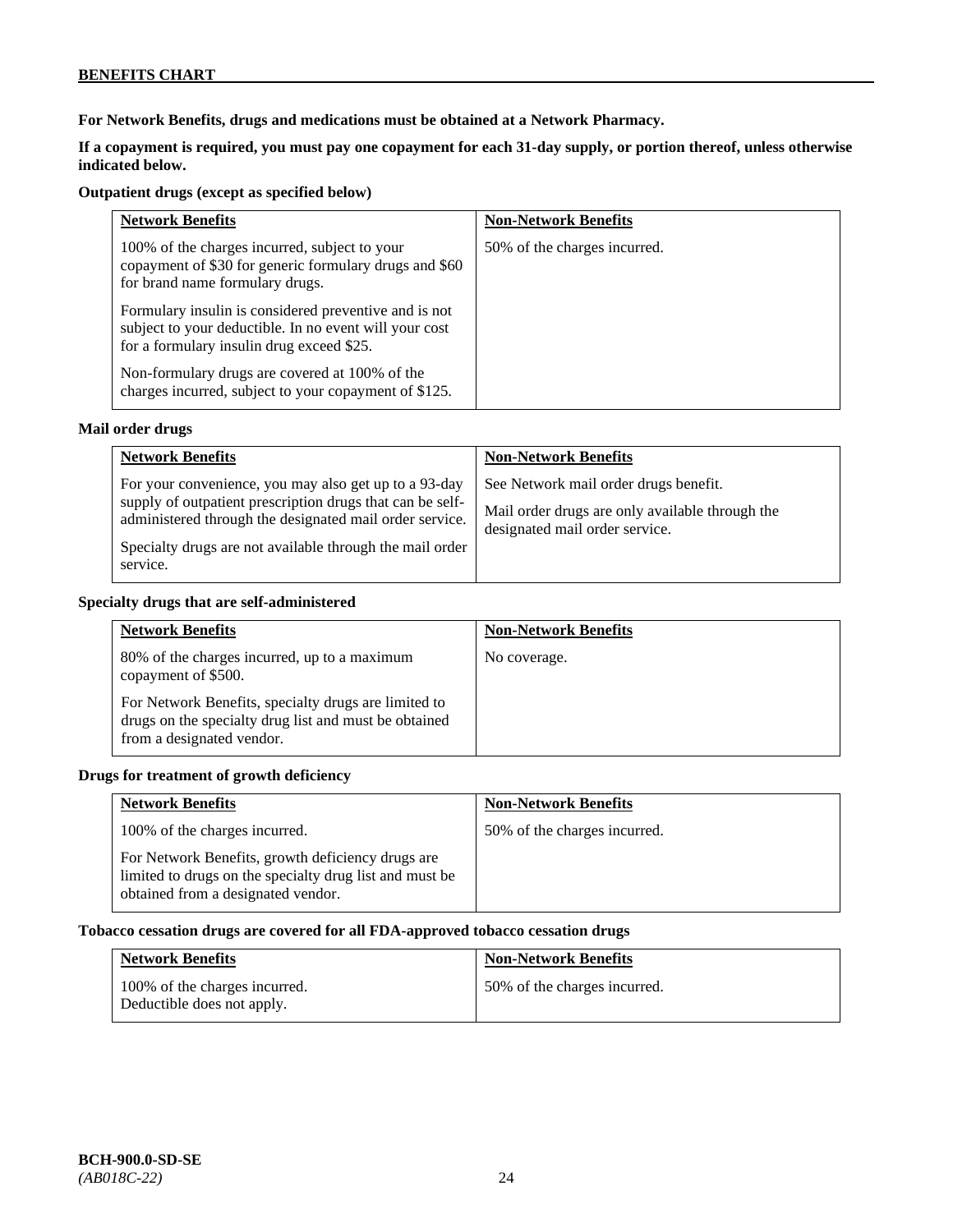**For Network Benefits, drugs and medications must be obtained at a Network Pharmacy.**

**If a copayment is required, you must pay one copayment for each 31-day supply, or portion thereof, unless otherwise indicated below.**

# **Outpatient drugs (except as specified below)**

| <b>Network Benefits</b>                                                                                                                                      | <b>Non-Network Benefits</b>  |
|--------------------------------------------------------------------------------------------------------------------------------------------------------------|------------------------------|
| 100% of the charges incurred, subject to your<br>copayment of \$30 for generic formulary drugs and \$60<br>for brand name formulary drugs.                   | 50% of the charges incurred. |
| Formulary insulin is considered preventive and is not<br>subject to your deductible. In no event will your cost<br>for a formulary insulin drug exceed \$25. |                              |
| Non-formulary drugs are covered at 100% of the<br>charges incurred, subject to your copayment of \$125.                                                      |                              |

# **Mail order drugs**

| <b>Network Benefits</b>                                                                                                                                                                                                                               | <b>Non-Network Benefits</b>                                                                                                |
|-------------------------------------------------------------------------------------------------------------------------------------------------------------------------------------------------------------------------------------------------------|----------------------------------------------------------------------------------------------------------------------------|
| For your convenience, you may also get up to a 93-day<br>supply of outpatient prescription drugs that can be self-<br>administered through the designated mail order service.<br>Specialty drugs are not available through the mail order<br>service. | See Network mail order drugs benefit.<br>Mail order drugs are only available through the<br>designated mail order service. |

### **Specialty drugs that are self-administered**

| <b>Network Benefits</b>                                                                                                                    | <b>Non-Network Benefits</b> |
|--------------------------------------------------------------------------------------------------------------------------------------------|-----------------------------|
| 80% of the charges incurred, up to a maximum<br>copayment of \$500.                                                                        | No coverage.                |
| For Network Benefits, specialty drugs are limited to<br>drugs on the specialty drug list and must be obtained<br>from a designated vendor. |                             |

# **Drugs for treatment of growth deficiency**

| <b>Network Benefits</b>                                                                                                                            | <b>Non-Network Benefits</b>  |
|----------------------------------------------------------------------------------------------------------------------------------------------------|------------------------------|
| 100% of the charges incurred.                                                                                                                      | 50% of the charges incurred. |
| For Network Benefits, growth deficiency drugs are<br>limited to drugs on the specialty drug list and must be<br>obtained from a designated vendor. |                              |

# **Tobacco cessation drugs are covered for all FDA-approved tobacco cessation drugs**

| <b>Network Benefits</b>                                     | <b>Non-Network Benefits</b>  |
|-------------------------------------------------------------|------------------------------|
| 100% of the charges incurred.<br>Deductible does not apply. | 50% of the charges incurred. |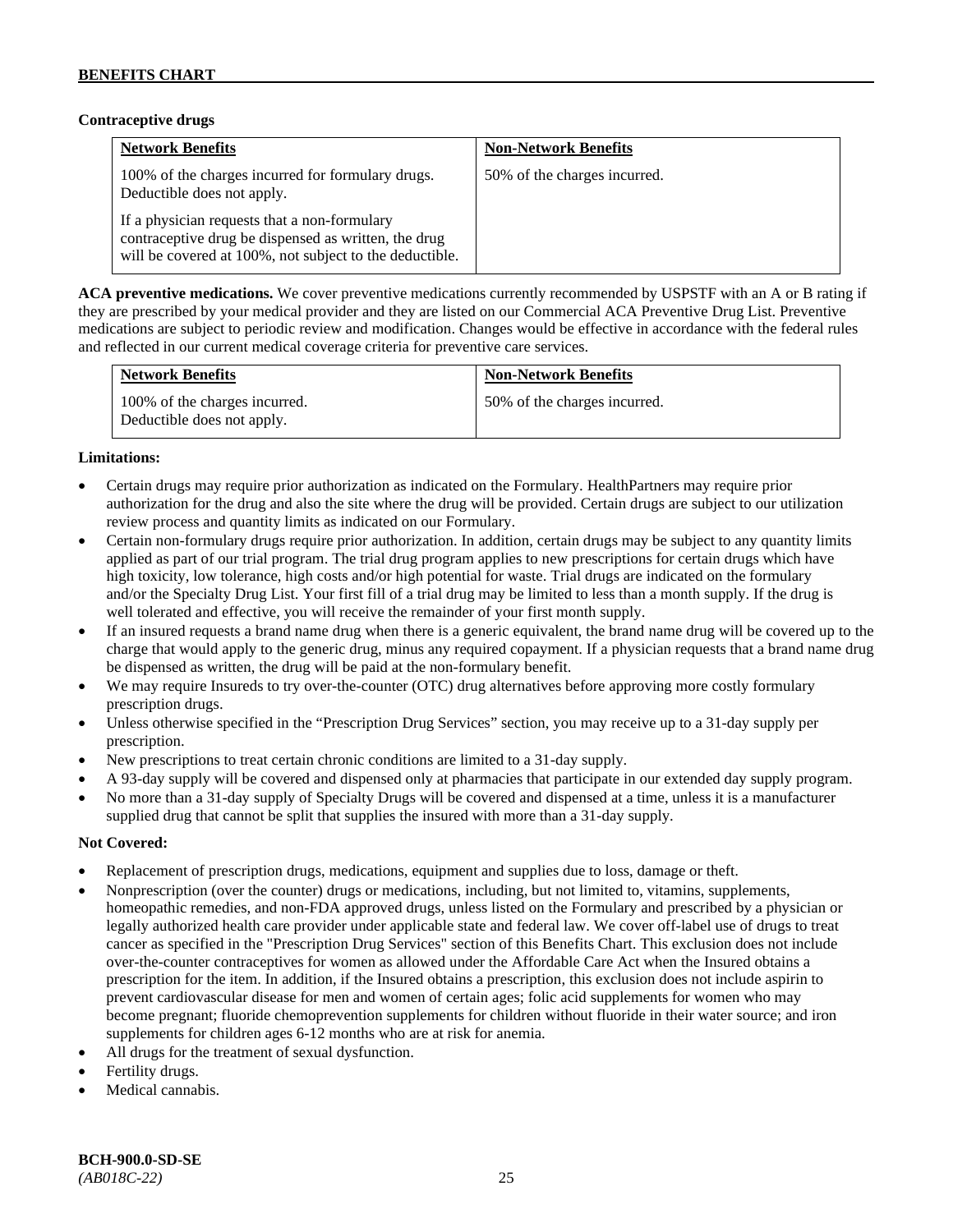# **Contraceptive drugs**

| <b>Network Benefits</b>                                                                                                                                         | <b>Non-Network Benefits</b>  |
|-----------------------------------------------------------------------------------------------------------------------------------------------------------------|------------------------------|
| 100% of the charges incurred for formulary drugs.<br>Deductible does not apply.                                                                                 | 50% of the charges incurred. |
| If a physician requests that a non-formulary<br>contraceptive drug be dispensed as written, the drug<br>will be covered at 100%, not subject to the deductible. |                              |

**ACA preventive medications.** We cover preventive medications currently recommended by USPSTF with an A or B rating if they are prescribed by your medical provider and they are listed on our Commercial ACA Preventive Drug List. Preventive medications are subject to periodic review and modification. Changes would be effective in accordance with the federal rules and reflected in our current medical coverage criteria for preventive care services.

| <b>Network Benefits</b>                                     | <b>Non-Network Benefits</b>  |
|-------------------------------------------------------------|------------------------------|
| 100% of the charges incurred.<br>Deductible does not apply. | 50% of the charges incurred. |

# **Limitations:**

- Certain drugs may require prior authorization as indicated on the Formulary. HealthPartners may require prior authorization for the drug and also the site where the drug will be provided. Certain drugs are subject to our utilization review process and quantity limits as indicated on our Formulary.
- Certain non-formulary drugs require prior authorization. In addition, certain drugs may be subject to any quantity limits applied as part of our trial program. The trial drug program applies to new prescriptions for certain drugs which have high toxicity, low tolerance, high costs and/or high potential for waste. Trial drugs are indicated on the formulary and/or the Specialty Drug List. Your first fill of a trial drug may be limited to less than a month supply. If the drug is well tolerated and effective, you will receive the remainder of your first month supply.
- If an insured requests a brand name drug when there is a generic equivalent, the brand name drug will be covered up to the charge that would apply to the generic drug, minus any required copayment. If a physician requests that a brand name drug be dispensed as written, the drug will be paid at the non-formulary benefit.
- We may require Insureds to try over-the-counter (OTC) drug alternatives before approving more costly formulary prescription drugs.
- Unless otherwise specified in the "Prescription Drug Services" section, you may receive up to a 31-day supply per prescription.
- New prescriptions to treat certain chronic conditions are limited to a 31-day supply.
- A 93-day supply will be covered and dispensed only at pharmacies that participate in our extended day supply program.
- No more than a 31-day supply of Specialty Drugs will be covered and dispensed at a time, unless it is a manufacturer supplied drug that cannot be split that supplies the insured with more than a 31-day supply.

- Replacement of prescription drugs, medications, equipment and supplies due to loss, damage or theft.
- Nonprescription (over the counter) drugs or medications, including, but not limited to, vitamins, supplements, homeopathic remedies, and non-FDA approved drugs, unless listed on the Formulary and prescribed by a physician or legally authorized health care provider under applicable state and federal law. We cover off-label use of drugs to treat cancer as specified in the "Prescription Drug Services" section of this Benefits Chart. This exclusion does not include over-the-counter contraceptives for women as allowed under the Affordable Care Act when the Insured obtains a prescription for the item. In addition, if the Insured obtains a prescription, this exclusion does not include aspirin to prevent cardiovascular disease for men and women of certain ages; folic acid supplements for women who may become pregnant; fluoride chemoprevention supplements for children without fluoride in their water source; and iron supplements for children ages 6-12 months who are at risk for anemia.
- All drugs for the treatment of sexual dysfunction.
- Fertility drugs.
- Medical cannabis.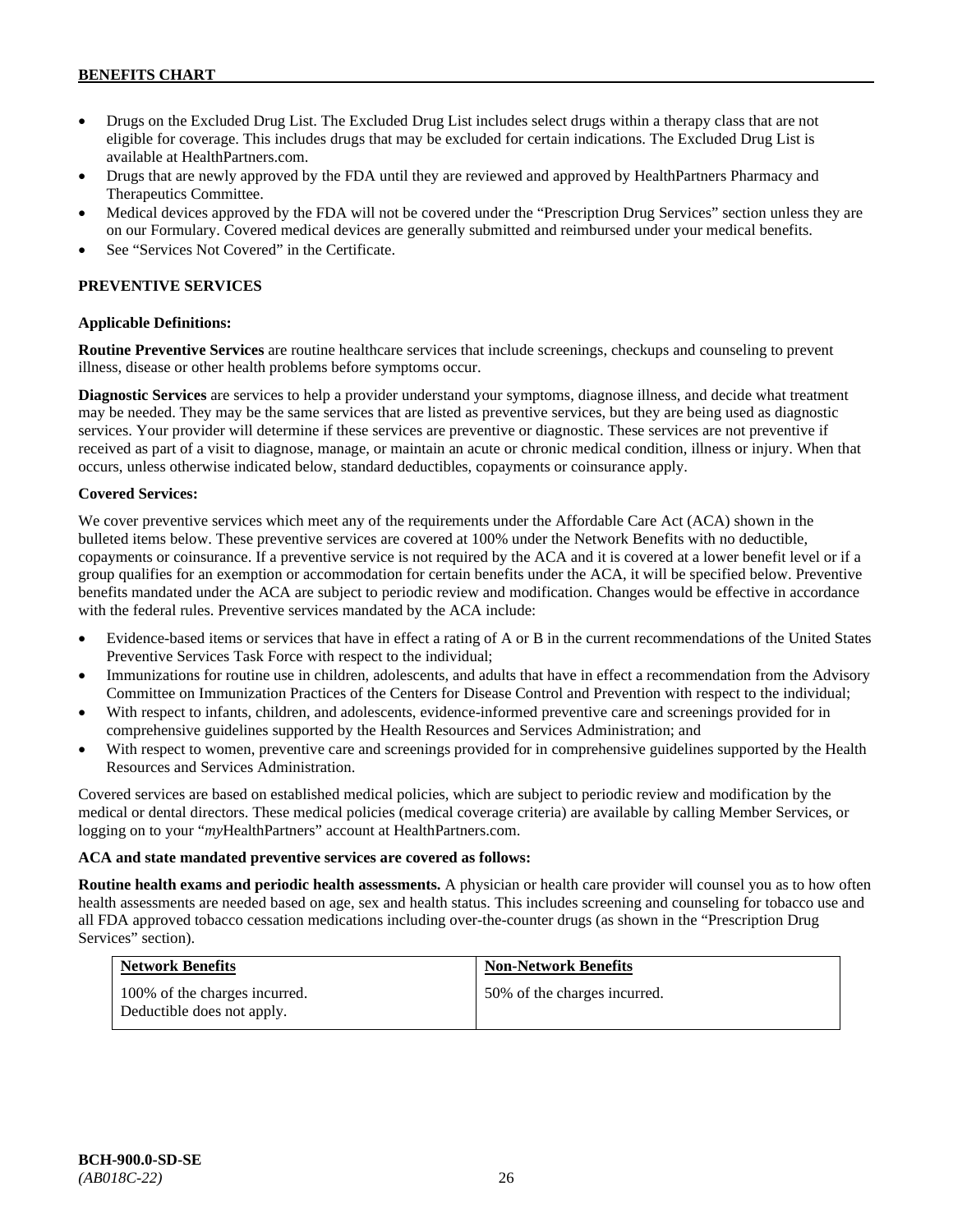- Drugs on the Excluded Drug List. The Excluded Drug List includes select drugs within a therapy class that are not eligible for coverage. This includes drugs that may be excluded for certain indications. The Excluded Drug List is available a[t HealthPartners.com.](http://www.healthpartners.com/)
- Drugs that are newly approved by the FDA until they are reviewed and approved by HealthPartners Pharmacy and Therapeutics Committee.
- Medical devices approved by the FDA will not be covered under the "Prescription Drug Services" section unless they are on our Formulary. Covered medical devices are generally submitted and reimbursed under your medical benefits.
- See "Services Not Covered" in the Certificate.

# **PREVENTIVE SERVICES**

### **Applicable Definitions:**

**Routine Preventive Services** are routine healthcare services that include screenings, checkups and counseling to prevent illness, disease or other health problems before symptoms occur.

**Diagnostic Services** are services to help a provider understand your symptoms, diagnose illness, and decide what treatment may be needed. They may be the same services that are listed as preventive services, but they are being used as diagnostic services. Your provider will determine if these services are preventive or diagnostic. These services are not preventive if received as part of a visit to diagnose, manage, or maintain an acute or chronic medical condition, illness or injury. When that occurs, unless otherwise indicated below, standard deductibles, copayments or coinsurance apply.

### **Covered Services:**

We cover preventive services which meet any of the requirements under the Affordable Care Act (ACA) shown in the bulleted items below. These preventive services are covered at 100% under the Network Benefits with no deductible, copayments or coinsurance. If a preventive service is not required by the ACA and it is covered at a lower benefit level or if a group qualifies for an exemption or accommodation for certain benefits under the ACA, it will be specified below. Preventive benefits mandated under the ACA are subject to periodic review and modification. Changes would be effective in accordance with the federal rules. Preventive services mandated by the ACA include:

- Evidence-based items or services that have in effect a rating of A or B in the current recommendations of the United States Preventive Services Task Force with respect to the individual;
- Immunizations for routine use in children, adolescents, and adults that have in effect a recommendation from the Advisory Committee on Immunization Practices of the Centers for Disease Control and Prevention with respect to the individual;
- With respect to infants, children, and adolescents, evidence-informed preventive care and screenings provided for in comprehensive guidelines supported by the Health Resources and Services Administration; and
- With respect to women, preventive care and screenings provided for in comprehensive guidelines supported by the Health Resources and Services Administration.

Covered services are based on established medical policies, which are subject to periodic review and modification by the medical or dental directors. These medical policies (medical coverage criteria) are available by calling Member Services, or logging on to your "*my*HealthPartners" account at [HealthPartners.com.](http://www.healthpartners.com/)

#### **ACA and state mandated preventive services are covered as follows:**

**Routine health exams and periodic health assessments.** A physician or health care provider will counsel you as to how often health assessments are needed based on age, sex and health status. This includes screening and counseling for tobacco use and all FDA approved tobacco cessation medications including over-the-counter drugs (as shown in the "Prescription Drug Services" section).

| <b>Network Benefits</b>                                     | <b>Non-Network Benefits</b>  |
|-------------------------------------------------------------|------------------------------|
| 100% of the charges incurred.<br>Deductible does not apply. | 50% of the charges incurred. |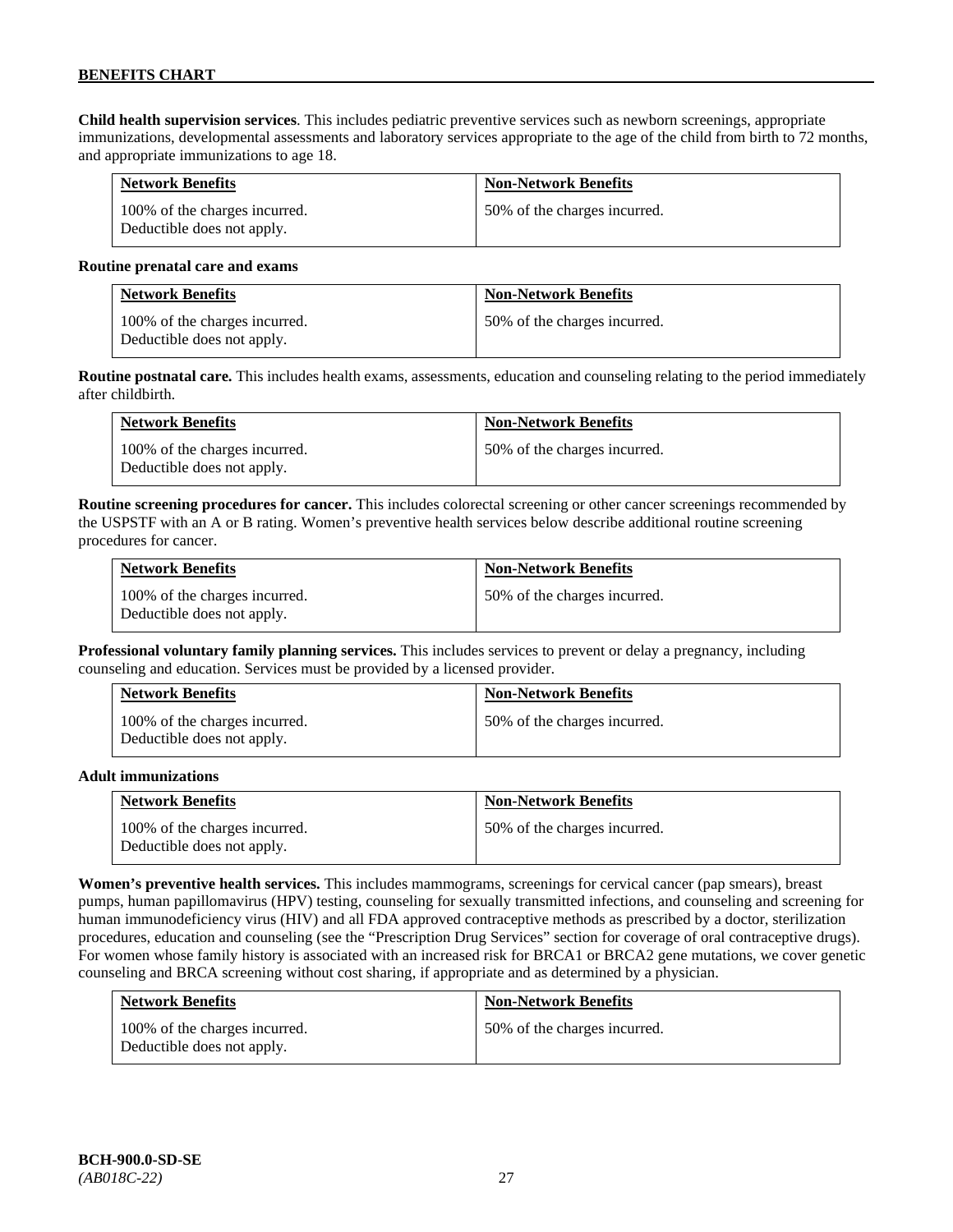**Child health supervision services**. This includes pediatric preventive services such as newborn screenings, appropriate immunizations, developmental assessments and laboratory services appropriate to the age of the child from birth to 72 months, and appropriate immunizations to age 18.

| <b>Network Benefits</b>                                     | <b>Non-Network Benefits</b>  |
|-------------------------------------------------------------|------------------------------|
| 100% of the charges incurred.<br>Deductible does not apply. | 50% of the charges incurred. |

#### **Routine prenatal care and exams**

| <b>Network Benefits</b>                                     | <b>Non-Network Benefits</b>  |
|-------------------------------------------------------------|------------------------------|
| 100% of the charges incurred.<br>Deductible does not apply. | 50% of the charges incurred. |

**Routine postnatal care.** This includes health exams, assessments, education and counseling relating to the period immediately after childbirth.

| <b>Network Benefits</b>                                     | <b>Non-Network Benefits</b>  |
|-------------------------------------------------------------|------------------------------|
| 100% of the charges incurred.<br>Deductible does not apply. | 50% of the charges incurred. |

**Routine screening procedures for cancer.** This includes colorectal screening or other cancer screenings recommended by the USPSTF with an A or B rating. Women's preventive health services below describe additional routine screening procedures for cancer.

| <b>Network Benefits</b>                                     | <b>Non-Network Benefits</b>  |
|-------------------------------------------------------------|------------------------------|
| 100% of the charges incurred.<br>Deductible does not apply. | 50% of the charges incurred. |

**Professional voluntary family planning services.** This includes services to prevent or delay a pregnancy, including counseling and education. Services must be provided by a licensed provider.

| <b>Network Benefits</b>                                     | <b>Non-Network Benefits</b>  |
|-------------------------------------------------------------|------------------------------|
| 100% of the charges incurred.<br>Deductible does not apply. | 50% of the charges incurred. |

#### **Adult immunizations**

| <b>Network Benefits</b>                                     | <b>Non-Network Benefits</b>  |
|-------------------------------------------------------------|------------------------------|
| 100% of the charges incurred.<br>Deductible does not apply. | 50% of the charges incurred. |

**Women's preventive health services.** This includes mammograms, screenings for cervical cancer (pap smears), breast pumps, human papillomavirus (HPV) testing, counseling for sexually transmitted infections, and counseling and screening for human immunodeficiency virus (HIV) and all FDA approved contraceptive methods as prescribed by a doctor, sterilization procedures, education and counseling (see the "Prescription Drug Services" section for coverage of oral contraceptive drugs). For women whose family history is associated with an increased risk for BRCA1 or BRCA2 gene mutations, we cover genetic counseling and BRCA screening without cost sharing, if appropriate and as determined by a physician.

| <b>Network Benefits</b>                                     | <b>Non-Network Benefits</b>  |
|-------------------------------------------------------------|------------------------------|
| 100% of the charges incurred.<br>Deductible does not apply. | 50% of the charges incurred. |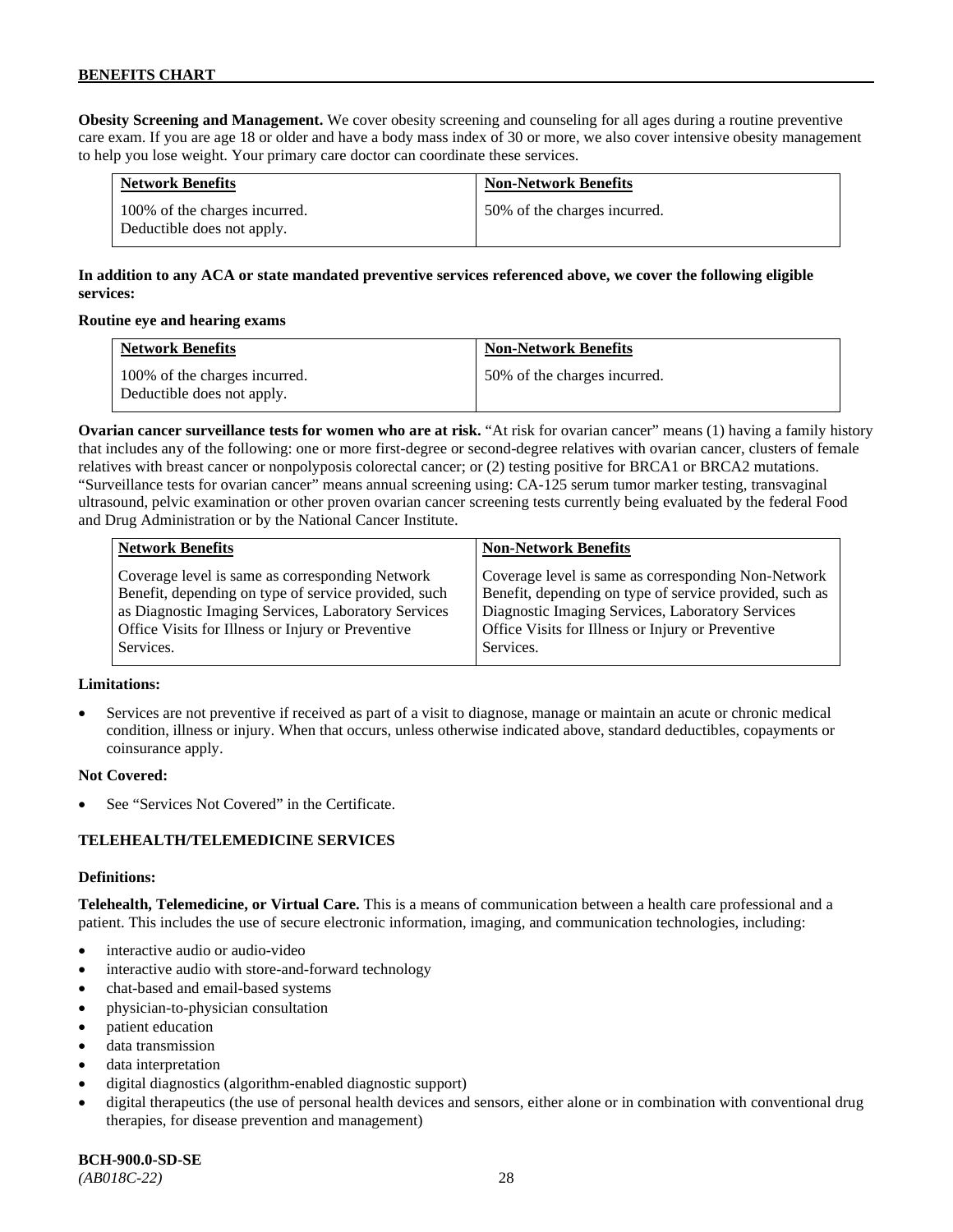**Obesity Screening and Management.** We cover obesity screening and counseling for all ages during a routine preventive care exam. If you are age 18 or older and have a body mass index of 30 or more, we also cover intensive obesity management to help you lose weight. Your primary care doctor can coordinate these services.

| <b>Network Benefits</b>                                     | <b>Non-Network Benefits</b>  |
|-------------------------------------------------------------|------------------------------|
| 100% of the charges incurred.<br>Deductible does not apply. | 50% of the charges incurred. |

# **In addition to any ACA or state mandated preventive services referenced above, we cover the following eligible services:**

### **Routine eye and hearing exams**

| <b>Network Benefits</b>                                     | <b>Non-Network Benefits</b>  |
|-------------------------------------------------------------|------------------------------|
| 100% of the charges incurred.<br>Deductible does not apply. | 50% of the charges incurred. |

**Ovarian cancer surveillance tests for women who are at risk.** "At risk for ovarian cancer" means (1) having a family history that includes any of the following: one or more first-degree or second-degree relatives with ovarian cancer, clusters of female relatives with breast cancer or nonpolyposis colorectal cancer; or (2) testing positive for BRCA1 or BRCA2 mutations. "Surveillance tests for ovarian cancer" means annual screening using: CA-125 serum tumor marker testing, transvaginal ultrasound, pelvic examination or other proven ovarian cancer screening tests currently being evaluated by the federal Food and Drug Administration or by the National Cancer Institute.

| <b>Network Benefits</b>                              | <b>Non-Network Benefits</b>                             |
|------------------------------------------------------|---------------------------------------------------------|
| Coverage level is same as corresponding Network      | Coverage level is same as corresponding Non-Network     |
| Benefit, depending on type of service provided, such | Benefit, depending on type of service provided, such as |
| as Diagnostic Imaging Services, Laboratory Services  | Diagnostic Imaging Services, Laboratory Services        |
| Office Visits for Illness or Injury or Preventive    | Office Visits for Illness or Injury or Preventive       |
| Services.                                            | Services.                                               |

# **Limitations:**

• Services are not preventive if received as part of a visit to diagnose, manage or maintain an acute or chronic medical condition, illness or injury. When that occurs, unless otherwise indicated above, standard deductibles, copayments or coinsurance apply.

# **Not Covered:**

See "Services Not Covered" in the Certificate.

# **TELEHEALTH/TELEMEDICINE SERVICES**

#### **Definitions:**

**Telehealth, Telemedicine, or Virtual Care.** This is a means of communication between a health care professional and a patient. This includes the use of secure electronic information, imaging, and communication technologies, including:

- interactive audio or audio-video
- interactive audio with store-and-forward technology
- chat-based and email-based systems
- physician-to-physician consultation
- patient education
- data transmission
- data interpretation
- digital diagnostics (algorithm-enabled diagnostic support)
- digital therapeutics (the use of personal health devices and sensors, either alone or in combination with conventional drug therapies, for disease prevention and management)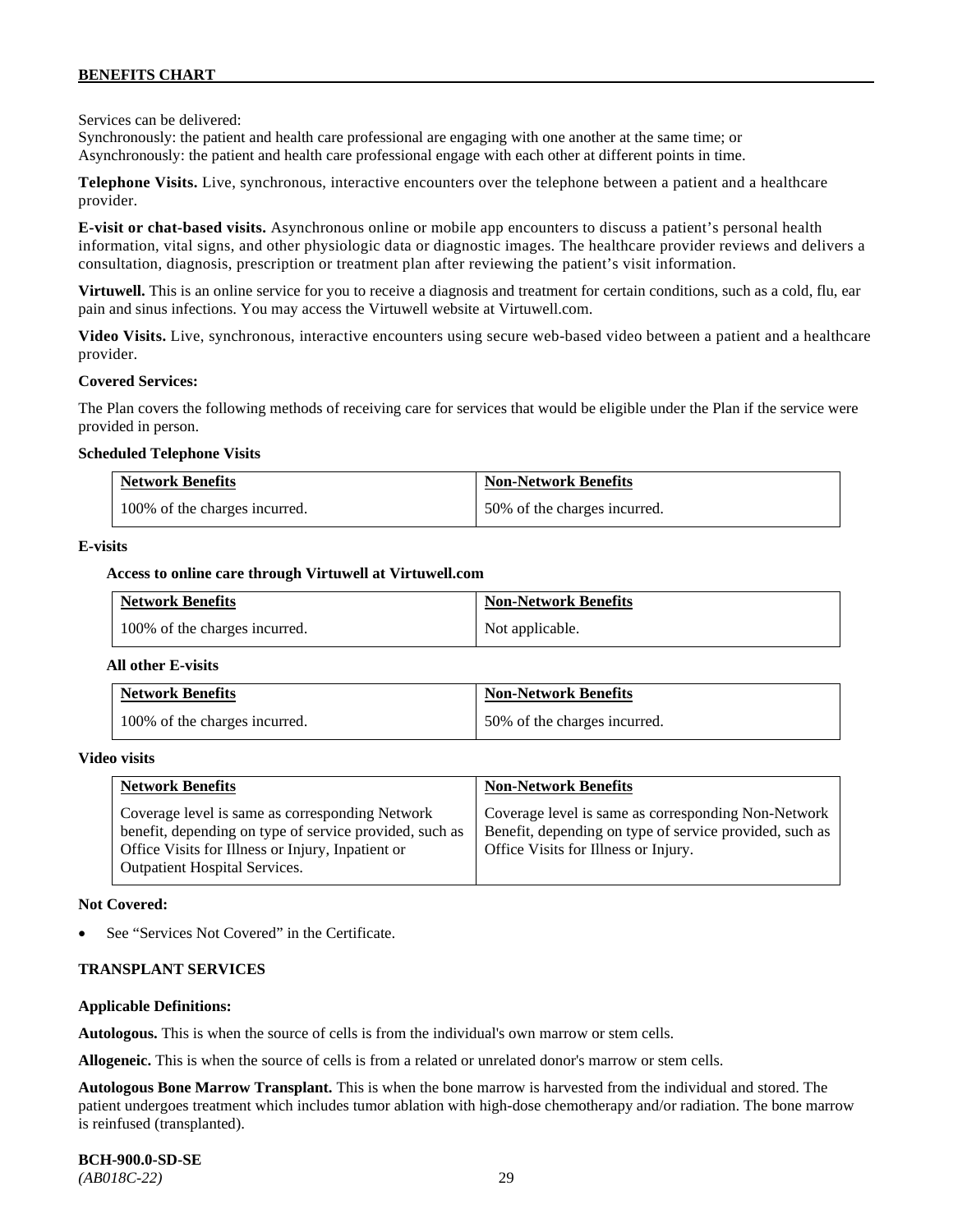Services can be delivered:

Synchronously: the patient and health care professional are engaging with one another at the same time; or Asynchronously: the patient and health care professional engage with each other at different points in time.

**Telephone Visits.** Live, synchronous, interactive encounters over the telephone between a patient and a healthcare provider.

**E-visit or chat-based visits.** Asynchronous online or mobile app encounters to discuss a patient's personal health information, vital signs, and other physiologic data or diagnostic images. The healthcare provider reviews and delivers a consultation, diagnosis, prescription or treatment plan after reviewing the patient's visit information.

**Virtuwell.** This is an online service for you to receive a diagnosis and treatment for certain conditions, such as a cold, flu, ear pain and sinus infections. You may access the Virtuwell website at [Virtuwell.com.](https://www.virtuwell.com/)

**Video Visits.** Live, synchronous, interactive encounters using secure web-based video between a patient and a healthcare provider.

#### **Covered Services:**

The Plan covers the following methods of receiving care for services that would be eligible under the Plan if the service were provided in person.

#### **Scheduled Telephone Visits**

| <b>Network Benefits</b>       | <b>Non-Network Benefits</b>  |
|-------------------------------|------------------------------|
| 100% of the charges incurred. | 50% of the charges incurred. |

#### **E-visits**

#### **Access to online care through Virtuwell at [Virtuwell.com](http://www.virtuwell.com/)**

| <b>Network Benefits</b>       | <b>Non-Network Benefits</b> |
|-------------------------------|-----------------------------|
| 100% of the charges incurred. | Not applicable.             |

#### **All other E-visits**

| <b>Network Benefits</b>       | <b>Non-Network Benefits</b>  |
|-------------------------------|------------------------------|
| 100% of the charges incurred. | 50% of the charges incurred. |

#### **Video visits**

| <b>Network Benefits</b>                                                                                                                                                                          | <b>Non-Network Benefits</b>                                                                                                                            |
|--------------------------------------------------------------------------------------------------------------------------------------------------------------------------------------------------|--------------------------------------------------------------------------------------------------------------------------------------------------------|
| Coverage level is same as corresponding Network<br>benefit, depending on type of service provided, such as<br>Office Visits for Illness or Injury, Inpatient or<br>Outpatient Hospital Services. | Coverage level is same as corresponding Non-Network<br>Benefit, depending on type of service provided, such as<br>Office Visits for Illness or Injury. |

#### **Not Covered:**

See "Services Not Covered" in the Certificate.

#### **TRANSPLANT SERVICES**

#### **Applicable Definitions:**

**Autologous.** This is when the source of cells is from the individual's own marrow or stem cells.

**Allogeneic.** This is when the source of cells is from a related or unrelated donor's marrow or stem cells.

**Autologous Bone Marrow Transplant.** This is when the bone marrow is harvested from the individual and stored. The patient undergoes treatment which includes tumor ablation with high-dose chemotherapy and/or radiation. The bone marrow is reinfused (transplanted).

**BCH-900.0-SD-SE**  *(AB018C-22)* 29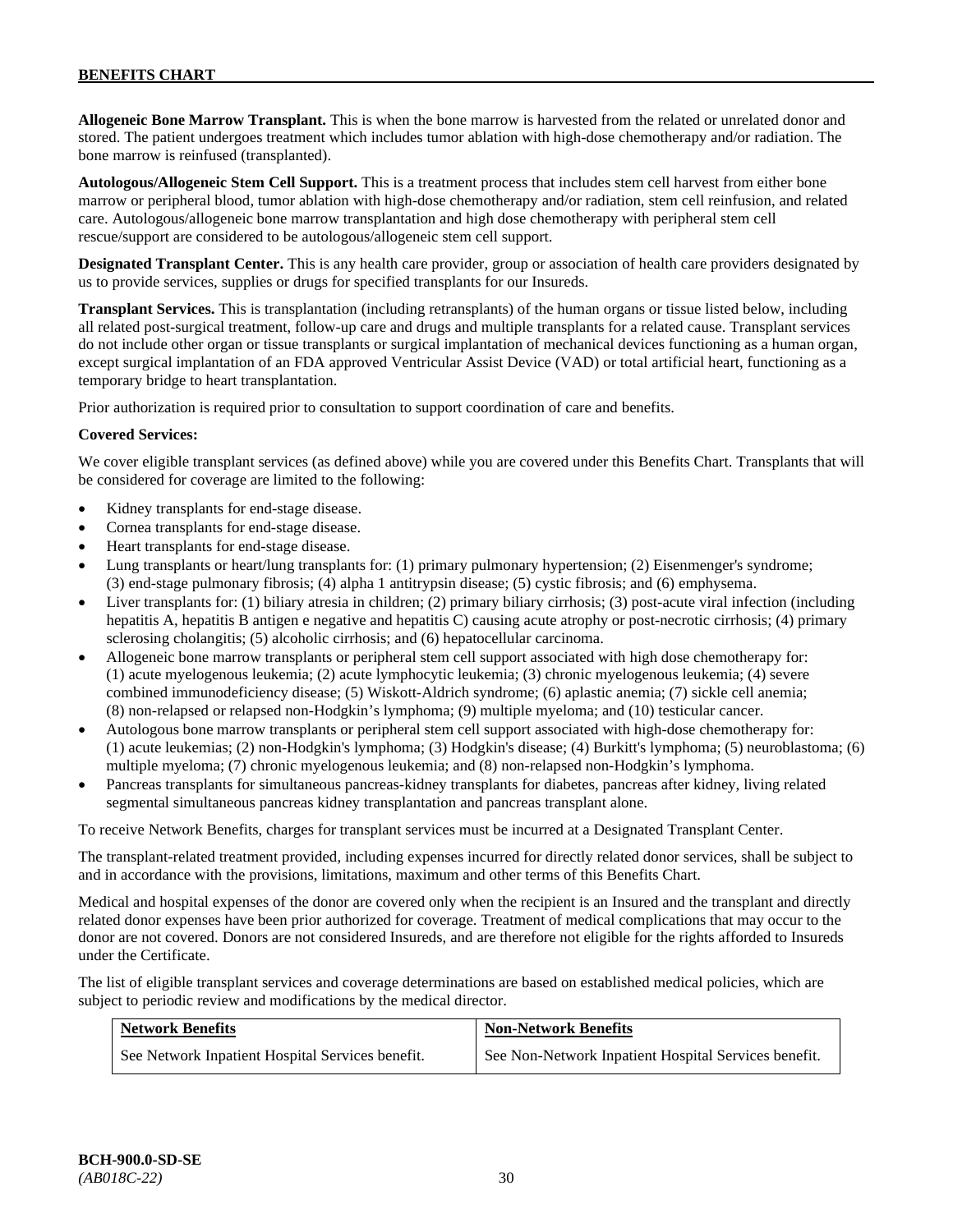**Allogeneic Bone Marrow Transplant.** This is when the bone marrow is harvested from the related or unrelated donor and stored. The patient undergoes treatment which includes tumor ablation with high-dose chemotherapy and/or radiation. The bone marrow is reinfused (transplanted).

**Autologous/Allogeneic Stem Cell Support.** This is a treatment process that includes stem cell harvest from either bone marrow or peripheral blood, tumor ablation with high-dose chemotherapy and/or radiation, stem cell reinfusion, and related care. Autologous/allogeneic bone marrow transplantation and high dose chemotherapy with peripheral stem cell rescue/support are considered to be autologous/allogeneic stem cell support.

**Designated Transplant Center.** This is any health care provider, group or association of health care providers designated by us to provide services, supplies or drugs for specified transplants for our Insureds.

**Transplant Services.** This is transplantation (including retransplants) of the human organs or tissue listed below, including all related post-surgical treatment, follow-up care and drugs and multiple transplants for a related cause. Transplant services do not include other organ or tissue transplants or surgical implantation of mechanical devices functioning as a human organ, except surgical implantation of an FDA approved Ventricular Assist Device (VAD) or total artificial heart, functioning as a temporary bridge to heart transplantation.

Prior authorization is required prior to consultation to support coordination of care and benefits.

### **Covered Services:**

We cover eligible transplant services (as defined above) while you are covered under this Benefits Chart. Transplants that will be considered for coverage are limited to the following:

- Kidney transplants for end-stage disease.
- Cornea transplants for end-stage disease.
- Heart transplants for end-stage disease.
- Lung transplants or heart/lung transplants for: (1) primary pulmonary hypertension; (2) Eisenmenger's syndrome; (3) end-stage pulmonary fibrosis; (4) alpha 1 antitrypsin disease; (5) cystic fibrosis; and (6) emphysema.
- Liver transplants for: (1) biliary atresia in children; (2) primary biliary cirrhosis; (3) post-acute viral infection (including hepatitis A, hepatitis B antigen e negative and hepatitis C) causing acute atrophy or post-necrotic cirrhosis; (4) primary sclerosing cholangitis; (5) alcoholic cirrhosis; and (6) hepatocellular carcinoma.
- Allogeneic bone marrow transplants or peripheral stem cell support associated with high dose chemotherapy for: (1) acute myelogenous leukemia; (2) acute lymphocytic leukemia; (3) chronic myelogenous leukemia; (4) severe combined immunodeficiency disease; (5) Wiskott-Aldrich syndrome; (6) aplastic anemia; (7) sickle cell anemia; (8) non-relapsed or relapsed non-Hodgkin's lymphoma; (9) multiple myeloma; and (10) testicular cancer.
- Autologous bone marrow transplants or peripheral stem cell support associated with high-dose chemotherapy for: (1) acute leukemias; (2) non-Hodgkin's lymphoma; (3) Hodgkin's disease; (4) Burkitt's lymphoma; (5) neuroblastoma; (6) multiple myeloma; (7) chronic myelogenous leukemia; and (8) non-relapsed non-Hodgkin's lymphoma.
- Pancreas transplants for simultaneous pancreas-kidney transplants for diabetes, pancreas after kidney, living related segmental simultaneous pancreas kidney transplantation and pancreas transplant alone.

To receive Network Benefits, charges for transplant services must be incurred at a Designated Transplant Center.

The transplant-related treatment provided, including expenses incurred for directly related donor services, shall be subject to and in accordance with the provisions, limitations, maximum and other terms of this Benefits Chart.

Medical and hospital expenses of the donor are covered only when the recipient is an Insured and the transplant and directly related donor expenses have been prior authorized for coverage. Treatment of medical complications that may occur to the donor are not covered. Donors are not considered Insureds, and are therefore not eligible for the rights afforded to Insureds under the Certificate.

The list of eligible transplant services and coverage determinations are based on established medical policies, which are subject to periodic review and modifications by the medical director.

| <b>Network Benefits</b>                          | <b>Non-Network Benefits</b>                          |
|--------------------------------------------------|------------------------------------------------------|
| See Network Inpatient Hospital Services benefit. | See Non-Network Inpatient Hospital Services benefit. |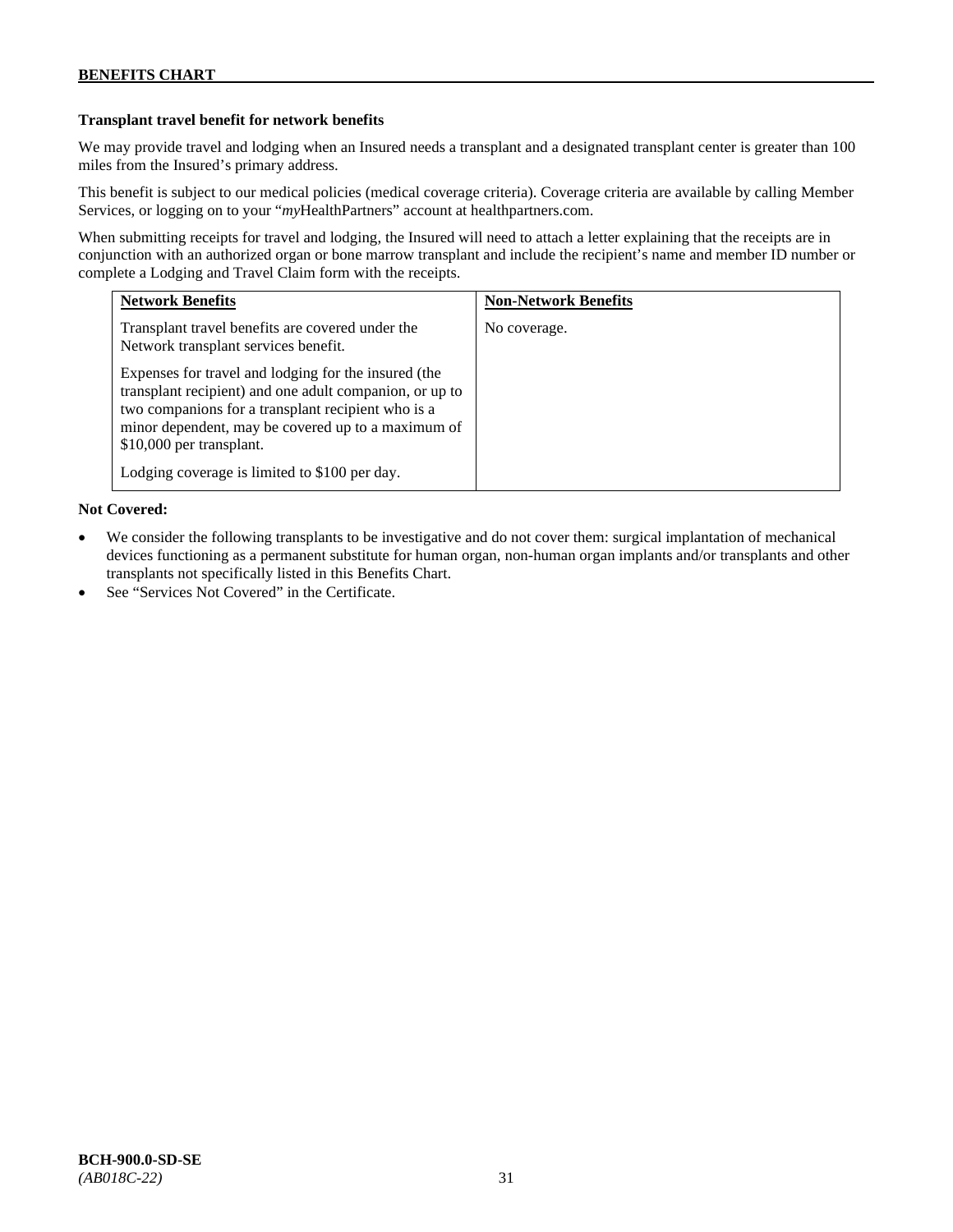# **Transplant travel benefit for network benefits**

We may provide travel and lodging when an Insured needs a transplant and a designated transplant center is greater than 100 miles from the Insured's primary address.

This benefit is subject to our medical policies (medical coverage criteria). Coverage criteria are available by calling Member Services, or logging on to your "*my*HealthPartners" account a[t healthpartners.com.](http://www.healthpartners.com/)

When submitting receipts for travel and lodging, the Insured will need to attach a letter explaining that the receipts are in conjunction with an authorized organ or bone marrow transplant and include the recipient's name and member ID number or complete a Lodging and Travel Claim form with the receipts.

| <b>Network Benefits</b>                                                                                                                                                                                                                                 | <b>Non-Network Benefits</b> |
|---------------------------------------------------------------------------------------------------------------------------------------------------------------------------------------------------------------------------------------------------------|-----------------------------|
| Transplant travel benefits are covered under the<br>Network transplant services benefit.                                                                                                                                                                | No coverage.                |
| Expenses for travel and lodging for the insured (the<br>transplant recipient) and one adult companion, or up to<br>two companions for a transplant recipient who is a<br>minor dependent, may be covered up to a maximum of<br>\$10,000 per transplant. |                             |
| Lodging coverage is limited to \$100 per day.                                                                                                                                                                                                           |                             |

- We consider the following transplants to be investigative and do not cover them: surgical implantation of mechanical devices functioning as a permanent substitute for human organ, non-human organ implants and/or transplants and other transplants not specifically listed in this Benefits Chart.
- See "Services Not Covered" in the Certificate.